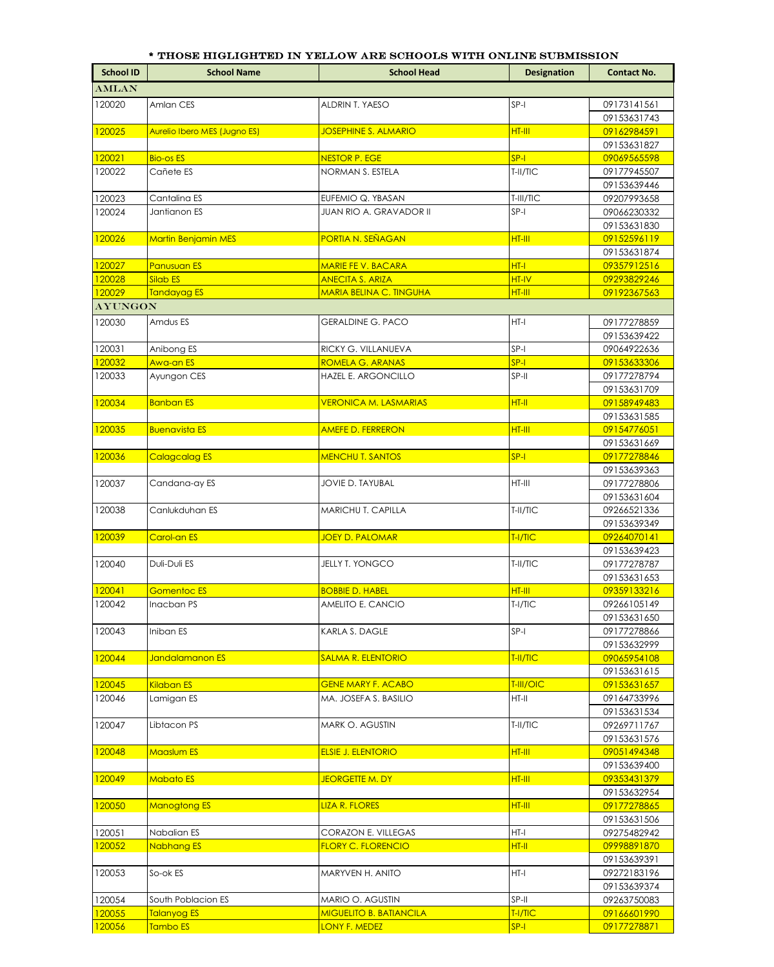|                  | * THOSE HIGLIGHTED IN YELLOW ARE SCHOOLS WITH ONLINE SUBMISSION |                                |                    |                            |  |
|------------------|-----------------------------------------------------------------|--------------------------------|--------------------|----------------------------|--|
| <b>School ID</b> | <b>School Name</b>                                              | <b>School Head</b>             | <b>Designation</b> | <b>Contact No.</b>         |  |
| <b>AMLAN</b>     |                                                                 |                                |                    |                            |  |
| 120020           | Amlan CES                                                       | ALDRIN T. YAESO                | $SP-I$             | 09173141561                |  |
|                  |                                                                 |                                |                    | 09153631743                |  |
| 120025           | Aurelio Ibero MES (Jugno ES)                                    | <b>JOSEPHINE S. ALMARIO</b>    | HT-III             | 09162984591                |  |
|                  |                                                                 |                                |                    | 09153631827                |  |
| 120021           | <b>Bio-os ES</b>                                                | <b>NESTOR P. EGE</b>           | $SP-I$             | 09069565598                |  |
| 120022           | Cañete ES                                                       | NORMAN S. ESTELA               | T-II/TIC           | 09177945507                |  |
|                  |                                                                 |                                |                    | 09153639446                |  |
| 120023           | Cantalina ES                                                    | EUFEMIO Q. YBASAN              | T-III/TIC          | 09207993658                |  |
| 120024           | Jantianon ES                                                    | JUAN RIO A. GRAVADOR II        | $SP-I$             | 09066230332                |  |
|                  |                                                                 |                                |                    | 09153631830                |  |
| 120026           | <b>Martin Benjamin MES</b>                                      | PORTIA N. SEÑAGAN              | HT-III             | 09152596119                |  |
|                  |                                                                 |                                |                    | 09153631874                |  |
| 120027           | <b>Panusuan ES</b>                                              | <b>MARIE FE V. BACARA</b>      | $HT-I$             | 09357912516                |  |
| 120028           | Silab ES                                                        | <b>ANECITA S. ARIZA</b>        | HT-IV              | 09293829246                |  |
| 120029           | <b>Tandayag ES</b>                                              | <b>MARIA BELINA C. TINGUHA</b> | HT-III             | 09192367563                |  |
| <b>AYUNGON</b>   |                                                                 |                                |                    |                            |  |
| 120030           | Amdus ES                                                        | <b>GERALDINE G. PACO</b>       | $HT-I$             | 09177278859                |  |
|                  |                                                                 |                                |                    | 09153639422                |  |
| 120031           | Anibong ES                                                      | RICKY G. VILLANUEVA            | SP-I               | 09064922636                |  |
| 120032           | Awa-an ES                                                       | ROMELA G. ARANAS               | $SP-I$             | 09153633306                |  |
| 120033           | Ayungon CES                                                     | HAZEL E. ARGONCILLO            | SP-II              | 09177278794                |  |
| 120034           | <b>Banban ES</b>                                                | <b>VERONICA M. LASMARIAS</b>   | HT-II              | 09153631709<br>09158949483 |  |
|                  |                                                                 |                                |                    | 09153631585                |  |
| 120035           | <b>Buenavista ES</b>                                            | <b>AMEFE D. FERRERON</b>       | HT-III             | 09154776051                |  |
|                  |                                                                 |                                |                    | 09153631669                |  |
| 120036           | <b>Calagcalag ES</b>                                            | <b>MENCHU T. SANTOS</b>        | $SP-I$             | 09177278846                |  |
|                  |                                                                 |                                |                    | 09153639363                |  |
| 120037           | Candana-ay ES                                                   | JOVIE D. TAYUBAL               | $HT-III$           | 09177278806                |  |
|                  |                                                                 |                                |                    | 09153631604                |  |
| 120038           | Canlukduhan ES                                                  | MARICHU T. CAPILLA             | T-II/TIC           | 09266521336                |  |
|                  |                                                                 |                                |                    | 09153639349                |  |
| 120039           | Carol-an ES                                                     | <b>JOEY D. PALOMAR</b>         | T-I/TIC            | 09264070141                |  |
|                  |                                                                 |                                |                    | 09153639423                |  |
| 120040           | Duli-Duli ES                                                    | <b>JELLY T. YONGCO</b>         | T-II/TIC           | 09177278787                |  |
|                  |                                                                 |                                |                    | 09153631653                |  |
| 120041           | <b>Gomentoc ES</b>                                              | <b>BOBBIE D. HABEL</b>         | HT-III             | 09359133216                |  |
| 120042           | Inacban PS                                                      | AMELITO E. CANCIO              | $T-I/TIC$          | 09266105149                |  |
|                  |                                                                 |                                |                    | 09153631650                |  |
| 120043           | Iniban ES                                                       | KARLA S. DAGLE                 | $SP-I$             | 09177278866                |  |
| 120044           | Jandalamanon ES                                                 | <b>SALMA R. ELENTORIO</b>      | T-II/TIC           | 09153632999<br>09065954108 |  |
|                  |                                                                 |                                |                    | 09153631615                |  |
| 120045           | Kilaban ES                                                      | <b>GENE MARY F. ACABO</b>      | T-III/OIC          | 09153631657                |  |
| 120046           | Lamigan ES                                                      | MA. JOSEFA S. BASILIO          | HT-II              | 09164733996                |  |
|                  |                                                                 |                                |                    | 09153631534                |  |
| 120047           | Libtacon PS                                                     | MARK O. AGUSTIN                | T-II/TIC           | 09269711767                |  |
|                  |                                                                 |                                |                    | 09153631576                |  |
| 120048           | Maaslum ES                                                      | <b>ELSIE J. ELENTORIO</b>      | HT-III             | 09051494348                |  |
|                  |                                                                 |                                |                    | 09153639400                |  |
| 120049           | <b>Mabato ES</b>                                                | <b>JEORGETTE M. DY</b>         | HT-III             | 09353431379                |  |
|                  |                                                                 |                                |                    | 09153632954                |  |
| 120050           | <b>Manogtong ES</b>                                             | <b>LIZA R. FLORES</b>          | <u>HT-III</u>      | 09177278865                |  |
|                  |                                                                 |                                |                    | 09153631506                |  |
| 120051           | Nabalian ES                                                     | CORAZON E. VILLEGAS            | HT-I               | 09275482942                |  |
| 120052           | Nabhang ES                                                      | <b>FLORY C. FLORENCIO</b>      | HT-II              | 09998891870                |  |
|                  |                                                                 |                                |                    | 09153639391                |  |
| 120053           | So-ok ES                                                        | MARYVEN H. ANITO               | $HT-I$             | 09272183196                |  |
|                  |                                                                 |                                |                    | 09153639374                |  |
| 120054           | South Poblacion ES                                              | MARIO O. AGUSTIN               | SP-II              | 09263750083                |  |
| 120055           | Talanyog ES                                                     | <b>MIGUELITO B. BATIANCILA</b> | TI/TC              | 09166601990                |  |

120056 Tambo ES LONY F. MEDEZ SP-I SP-I 09177278871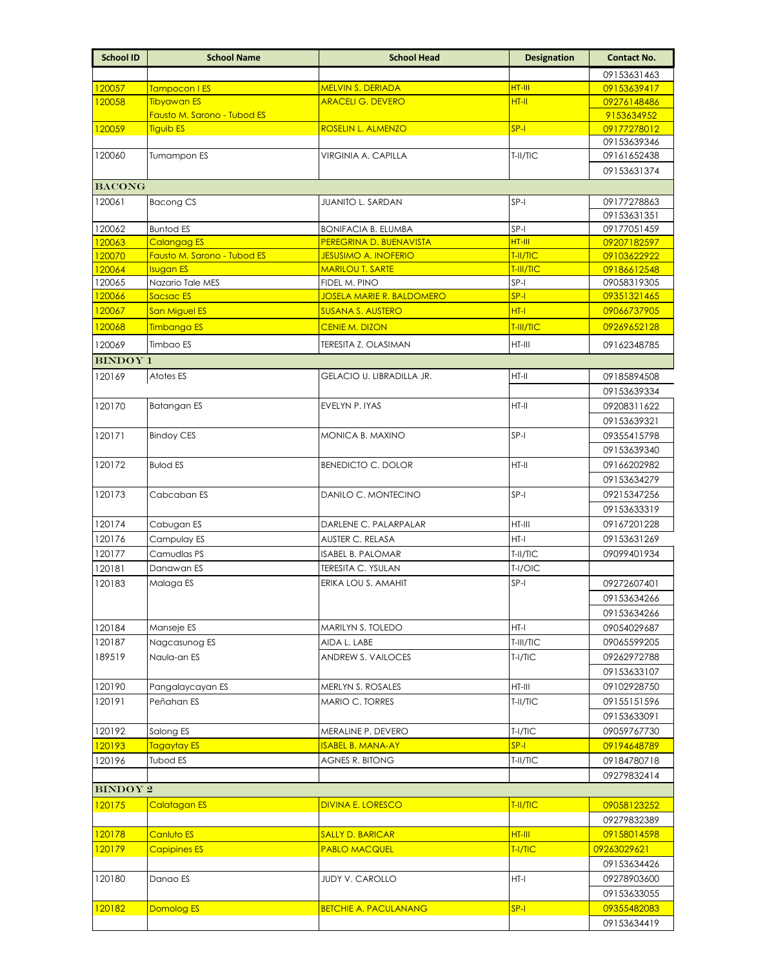| <b>School ID</b> | <b>School Name</b>                              | <b>School Head</b>                                     | <b>Designation</b> | <b>Contact No.</b>         |
|------------------|-------------------------------------------------|--------------------------------------------------------|--------------------|----------------------------|
|                  |                                                 |                                                        |                    | 09153631463                |
| 120057           | Tampocon I ES                                   | <b>MELVIN S. DERIADA</b>                               | HT-III             | 09153639417                |
| 120058           | <b>Tibyawan ES</b>                              | <b>ARACELI G. DEVERO</b>                               | HT-II              | 09276148486                |
|                  | Fausto M. Sarono - Tubod ES                     |                                                        |                    | 9153634952                 |
| 120059           | <b>Tiguib ES</b>                                | ROSELIN L. ALMENZO                                     | $SP-I$             | 09177278012                |
|                  |                                                 |                                                        |                    | 09153639346                |
| 120060           | Tumampon ES                                     | VIRGINIA A. CAPILLA                                    | T-II/TIC           | 09161652438                |
|                  |                                                 |                                                        |                    | 09153631374                |
| <b>BACONG</b>    |                                                 |                                                        |                    |                            |
| 120061           | <b>Bacong CS</b>                                | <b>JUANITO L. SARDAN</b>                               | $SP-I$             | 09177278863                |
|                  |                                                 |                                                        |                    | 09153631351                |
| 120062           | <b>Buntod ES</b>                                | <b>BONIFACIA B. ELUMBA</b>                             | SP-I               | 09177051459                |
| 120063           | <b>Calangag ES</b>                              | PEREGRINA D. BUENAVISTA                                | HT-III<br>T-II/TIC | 09207182597                |
| 120070<br>120064 | Fausto M. Sarono - Tubod ES<br><b>Isugan ES</b> | <b>JESUSIMO A. INOFERIO</b><br><b>MARILOU T. SARTE</b> | T-III/TIC          | 09103622922<br>09186612548 |
| 120065           | Nazario Tale MES                                | FIDEL M. PINO                                          | SP-I               | 09058319305                |
| 120066           | Sacsac ES                                       | <b>JOSELA MARIE R. BALDOMERO</b>                       | $SP-I$             | 09351321465                |
| 120067           | <b>San Miguel ES</b>                            | <b>SUSANA S. AUSTERO</b>                               | $HT-I$             | 09066737905                |
| 120068           | <b>Timbanga ES</b>                              | <b>CENIE M. DIZON</b>                                  | T-III/TIC          | 09269652128                |
| 120069           | Timbao ES                                       |                                                        | HT-III             | 09162348785                |
|                  |                                                 | TERESITA Z. OLASIMAN                                   |                    |                            |
| <b>BINDOY 1</b>  |                                                 |                                                        |                    |                            |
| 120169           | Atotes ES                                       | GELACIO U. LIBRADILLA JR.                              | $HT-II$            | 09185894508                |
|                  |                                                 |                                                        |                    | 09153639334                |
| 120170           | Batangan ES                                     | EVELYN P. IYAS                                         | HT-II              | 09208311622                |
|                  |                                                 |                                                        |                    | 09153639321                |
| 120171           | <b>Bindoy CES</b>                               | MONICA B. MAXINO                                       | $SP-I$             | 09355415798                |
|                  |                                                 |                                                        |                    | 09153639340                |
| 120172           | <b>Bulod ES</b>                                 | <b>BENEDICTO C. DOLOR</b>                              | $HT-II$            | 09166202982                |
|                  |                                                 |                                                        |                    | 09153634279                |
| 120173           | Cabcaban ES                                     | DANILO C. MONTECINO                                    | $SP-I$             | 09215347256                |
|                  | Cabugan ES                                      |                                                        | HT-III             | 09153633319                |
| 120174<br>120176 |                                                 | DARLENE C. PALARPALAR                                  | HT-I               | 09167201228<br>09153631269 |
| 120177           | Campulay ES<br>Camudlas PS                      | AUSTER C. RELASA<br><b>ISABEL B. PALOMAR</b>           | T-II/TIC           | 09099401934                |
| 120181           | Danawan ES                                      | TERESITA C. YSULAN                                     | T-I/OIC            |                            |
| 120183           | Malaga ES                                       | ERIKA LOU S. AMAHIT                                    | $SP-I$             | 09272607401                |
|                  |                                                 |                                                        |                    | 09153634266                |
|                  |                                                 |                                                        |                    | 09153634266                |
| 120184           | Manseje ES                                      | MARILYN S. TOLEDO                                      | HT-I               | 09054029687                |
| 120187           | Nagcasunog ES                                   | AIDA L. LABE                                           | T-III/TIC          | 09065599205                |
| 189519           | Naula-an ES                                     | ANDREW S. VAILOCES                                     | $T-I/TIC$          | 09262972788                |
|                  |                                                 |                                                        |                    | 09153633107                |
| 120190           | Pangalaycayan ES                                | MERLYN S. ROSALES                                      | HT-III             | 09102928750                |
| 120191           | Peñahan ES                                      | MARIO C. TORRES                                        | T-II/TIC           | 09155151596                |
|                  |                                                 |                                                        |                    | 09153633091                |
| 120192           | Salong ES                                       | MERALINE P. DEVERO                                     | $T-I/TIC$          | 09059767730                |
| 120193           | Tagaytay ES                                     | <b>ISABEL B. MANA-AY</b>                               | $SP-I$             | 09194648789                |
| 120196           | <b>Tubod ES</b>                                 | AGNES R. BITONG                                        | T-II/TIC           | 09184780718                |
|                  |                                                 |                                                        |                    | 09279832414                |
| <b>BINDOY 2</b>  |                                                 |                                                        |                    |                            |
| 120175           | Calatagan ES                                    | DIVINA E. LORESCO                                      | T-II/TIC           | 09058123252                |
|                  |                                                 |                                                        |                    | 09279832389                |
| 120178           | Canluto ES                                      | <b>SALLY D. BARICAR</b>                                | HT-III             | 09158014598                |
| 120179           | <b>Capipines ES</b>                             | <b>PABLO MACQUEL</b>                                   | T-I/TIC            | 09263029621                |
|                  |                                                 |                                                        |                    | 09153634426                |
| 120180           | Danao ES                                        | <b>JUDY V. CAROLLO</b>                                 | HT-I               | 09278903600                |
|                  |                                                 |                                                        |                    | 09153633055                |
| 120182           | Domolog ES                                      | <b>BETCHIE A. PACULANANG</b>                           | $SP-I$             | 09355482083                |
|                  |                                                 |                                                        |                    | 09153634419                |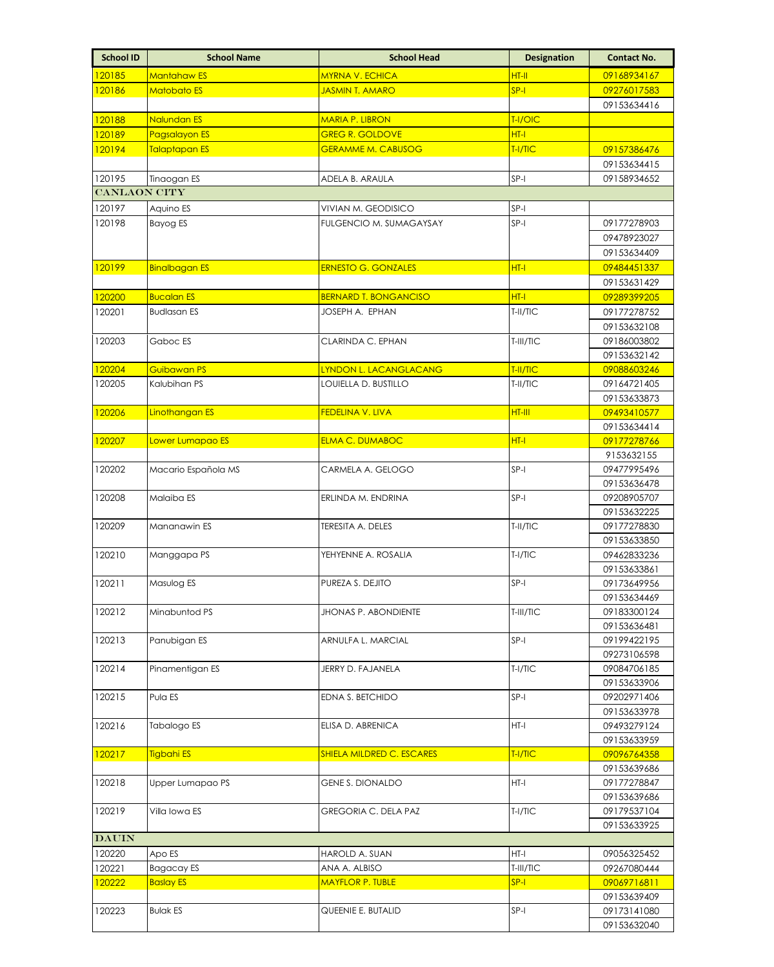| <b>School ID</b>    | <b>School Name</b>   | <b>School Head</b>               | <b>Designation</b> | <b>Contact No.</b>         |
|---------------------|----------------------|----------------------------------|--------------------|----------------------------|
| 120185              | <b>Mantahaw ES</b>   | <b>MYRNA V. ECHICA</b>           | HT-II              | 09168934167                |
| 120186              | <b>Matobato ES</b>   | <b>JASMIN T. AMARO</b>           | $SP-I$             | 09276017583                |
|                     |                      |                                  |                    | 09153634416                |
| 120188              | Nalundan ES          | <b>MARIA P. LIBRON</b>           | T-I/OIC            |                            |
| 120189              | <b>Pagsalayon ES</b> | <b>GREG R. GOLDOVE</b>           | HT-I               |                            |
| 120194              | <b>Talaptapan ES</b> | <b>GERAMME M. CABUSOG</b>        | T-I/TIC            | 09157386476                |
|                     |                      |                                  |                    | 09153634415                |
| 120195              | Tinaogan ES          | ADELA B. ARAULA                  | SP-I               | 09158934652                |
| <b>CANLAON CITY</b> |                      |                                  |                    |                            |
| 120197              | Aquino ES            | VIVIAN M. GEODISICO              | SP-I               |                            |
| 120198              | <b>Bayog ES</b>      | <b>FULGENCIO M. SUMAGAYSAY</b>   | $SP-I$             | 09177278903                |
|                     |                      |                                  |                    | 09478923027                |
|                     |                      |                                  |                    | 09153634409                |
| 120199              | <b>Binalbagan ES</b> | <b>ERNESTO G. GONZALES</b>       | HT-I               | 09484451337                |
|                     |                      |                                  |                    | 09153631429                |
| 120200              | <b>Bucalan ES</b>    | <b>BERNARD T. BONGANCISO</b>     | $HT-I$             | 09289399205                |
| 120201              | <b>Budlasan ES</b>   | JOSEPH A. EPHAN                  | T-II/TIC           | 09177278752                |
|                     |                      |                                  |                    | 09153632108<br>09186003802 |
| 120203              | Gaboc ES             | CLARINDA C. EPHAN                | T-III/TIC          | 09153632142                |
| 120204              | Guibawan PS          | LYNDON L. LACANGLACANG           | T-II/TIC           | 09088603246                |
| 120205              | Kalubihan PS         | LOUIELLA D. BUSTILLO             | T-II/TIC           | 09164721405                |
|                     |                      |                                  |                    | 09153633873                |
| 120206              | Linothangan ES       | <b>FEDELINA V. LIVA</b>          | HT-III             | 09493410577                |
|                     |                      |                                  |                    | 09153634414                |
| 120207              | Lower Lumapao ES     | <b>ELMA C. DUMABOC</b>           | HT-I               | 09177278766                |
|                     |                      |                                  |                    | 9153632155                 |
| 120202              | Macario Española MS  | CARMELA A. GELOGO                | SP-I               | 09477995496                |
|                     |                      |                                  |                    | 09153636478                |
| 120208              | Malaiba ES           | ERLINDA M. ENDRINA               | SP-I               | 09208905707                |
|                     |                      |                                  |                    | 09153632225                |
| 120209              | Mananawin ES         | TERESITA A. DELES                | T-II/TIC           | 09177278830                |
|                     |                      |                                  | $T-I/TIC$          | 09153633850                |
| 120210              | Manggapa PS          | YEHYENNE A. ROSALIA              |                    | 09462833236<br>09153633861 |
| 120211              | Masulog ES           | PUREZA S. DEJITO                 | SP-I               | 09173649956                |
|                     |                      |                                  |                    | 09153634469                |
| 120212              | Minabuntod PS        | <b>JHONAS P. ABONDIENTE</b>      | T-III/TIC          | 09183300124                |
|                     |                      |                                  |                    | 09153636481                |
| 120213              | Panubigan ES         | ARNULFA L. MARCIAL               | $SP-I$             | 09199422195                |
|                     |                      |                                  |                    | 09273106598                |
| 120214              | Pinamentigan ES      | JERRY D. FAJANELA                | $T-I/TIC$          | 09084706185                |
|                     |                      |                                  |                    | 09153633906                |
| 120215              | Pula ES              | EDNA S. BETCHIDO                 | $SP-I$             | 09202971406                |
|                     |                      |                                  |                    | 09153633978                |
| 120216              | Tabalogo ES          | ELISA D. ABRENICA                | HT-I               | 09493279124                |
| 120217              | <b>Tigbahi ES</b>    | <b>SHIELA MILDRED C. ESCARES</b> | T-I/TIC            | 09153633959                |
|                     |                      |                                  |                    | 09096764358<br>09153639686 |
| 120218              | Upper Lumapao PS     | <b>GENE S. DIONALDO</b>          | HT-I               | 09177278847                |
|                     |                      |                                  |                    | 09153639686                |
| 120219              | Villa Iowa ES        | GREGORIA C. DELA PAZ             | $T-I/TIC$          | 09179537104                |
|                     |                      |                                  |                    | 09153633925                |
| <b>DAUIN</b>        |                      |                                  |                    |                            |
| 120220              | Apo ES               | HAROLD A. SUAN                   | HT-I               | 09056325452                |
| 120221              | Bagacay ES           | ANA A. ALBISO                    | T-III/TIC          | 09267080444                |
| 120222              | <b>Baslay ES</b>     | <b>MAYFLOR P. TUBLE</b>          | $SP-I$             | 09069716811                |
|                     |                      |                                  |                    | 09153639409                |
| 120223              | <b>Bulak ES</b>      | QUEENIE E. BUTALID               | SP-I               | 09173141080                |
|                     |                      |                                  |                    | 09153632040                |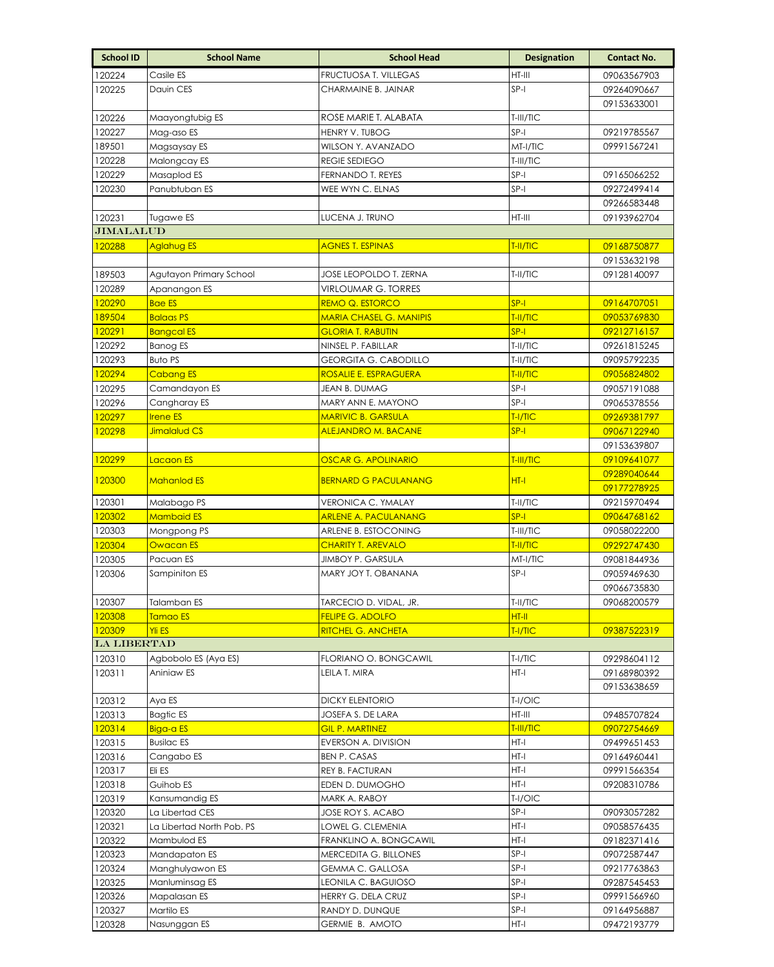| <b>School ID</b>   | <b>School Name</b>        | <b>School Head</b>                       | <b>Designation</b> | <b>Contact No.</b>         |
|--------------------|---------------------------|------------------------------------------|--------------------|----------------------------|
| 120224             | Casile ES                 | FRUCTUOSA T. VILLEGAS                    | HT-III             | 09063567903                |
| 120225             | Dauin CES                 | CHARMAINE B. JAINAR                      | $SP-I$             | 09264090667                |
|                    |                           |                                          |                    | 09153633001                |
| 120226             | Maayongtubig ES           | ROSE MARIE T. ALABATA                    | T-III/TIC          |                            |
| 120227             | Mag-aso ES                | HENRY V. TUBOG                           | $SP-I$             | 09219785567                |
| 189501             | Magsaysay ES              | WILSON Y. AVANZADO                       | MT-I/TIC           | 09991567241                |
| 120228             | Malongcay ES              | <b>REGIE SEDIEGO</b>                     | T-III/TIC          |                            |
| 120229             | Masaplod ES               | FERNANDO T. REYES                        | SP-I               | 09165066252                |
| 120230             | Panubtuban ES             | WEE WYN C. ELNAS                         | $SP-I$             | 09272499414                |
|                    |                           |                                          |                    | 09266583448                |
| 120231             | Tugawe ES                 | LUCENA J. TRUNO                          | HT-III             | 09193962704                |
| <b>JIMALALUD</b>   |                           |                                          |                    |                            |
| 120288             | <b>Aglahug ES</b>         | <b>AGNES T. ESPINAS</b>                  | T-II/TIC           | 09168750877                |
|                    |                           |                                          |                    | 09153632198                |
| 189503             | Agutayon Primary School   | JOSE LEOPOLDO T. ZERNA                   | T-II/TIC           | 09128140097                |
| 120289             | Apanangon ES              | VIRLOUMAR G. TORRES                      |                    |                            |
| 120290             | <b>Bae ES</b>             | <b>REMO Q. ESTORCO</b>                   | $SP-I$             | 09164707051                |
| 189504             | <b>Balaas PS</b>          | <b>MARIA CHASEL G. MANIPIS</b>           | T-II/TIC           | 09053769830                |
| 120291             | <b>Bangcal ES</b>         | <b>GLORIA T. RABUTIN</b>                 | $SP-I$             | 09212716157                |
| 120292             | <b>Banog ES</b>           | NINSEL P. FABILLAR                       | T-II/TIC           | 09261815245                |
| 120293             | <b>Buto PS</b>            | GEORGITA G. CABODILLO                    | T-II/TIC           | 09095792235                |
| 120294             | <b>Cabang ES</b>          | <b>ROSALIE E. ESPRAGUERA</b>             | T-II/TIC           | 09056824802                |
| 120295             | Camandayon ES             | JEAN B. DUMAG                            | SP-I               | 09057191088                |
| 120296             | Cangharay ES              | MARY ANN E. MAYONO                       | SP-I               | 09065378556                |
| 120297             | <b>Irene ES</b>           | <b>MARIVIC B. GARSULA</b>                | T-I/TIC            | 09269381797                |
| 120298             | Jimalalud CS              | <b>ALEJANDRO M. BACANE</b>               | $SP-I$             | 09067122940                |
|                    |                           |                                          |                    | 09153639807                |
| 120299             | Lacaon ES                 | <b>OSCAR G. APOLINARIO</b>               | T-III/TIC          | 09109641077                |
| 120300             | <b>Mahanlod ES</b>        | <b>BERNARD G PACULANANG</b>              | $HT-I$             | 09289040644                |
|                    |                           |                                          |                    | 09177278925                |
| 120301             | Malabago PS               | VERONICA C. YMALAY                       | T-II/TIC           | 09215970494                |
| 120302             | <b>Mambaid ES</b>         | <b>ARLENE A. PACULANANG</b>              | $SP-I$             | 09064768162                |
| 120303             | Mongpong PS               | ARLENE B. ESTOCONING                     | T-III/TIC          | 09058022200                |
| 120304             | Owacan ES                 | <b>CHARITY T. AREVALO</b>                | T-II/TIC           | 09292747430                |
| 120305<br>120306   | Pacuan ES                 | JIMBOY P. GARSULA<br>MARY JOY T. OBANANA | MT-I/TIC<br>$SP-I$ | 09081844936                |
|                    | Sampiniton ES             |                                          |                    | 09059469630<br>09066735830 |
| 120307             | <b>Talamban ES</b>        | TARCECIO D. VIDAL, JR.                   | T-II/TIC           | 09068200579                |
| 120308             | Tamao ES                  | <b>FELIPE G. ADOLFO</b>                  | HT-II              |                            |
| 120309             | <b>Yli ES</b>             | <b>RITCHEL G. ANCHETA</b>                | T-I/TIC            | 09387522319                |
| <b>LA LIBERTAD</b> |                           |                                          |                    |                            |
| 120310             | Agbobolo ES (Aya ES)      | FLORIANO O. BONGCAWIL                    | T-I/TIC            | 09298604112                |
| 120311             | Aniniaw ES                | LEILA T. MIRA                            | HT-I               | 09168980392                |
|                    |                           |                                          |                    | 09153638659                |
| 120312             | Aya ES                    | <b>DICKY ELENTORIO</b>                   | T-I/OIC            |                            |
| 120313             | Bagtic ES                 | JOSEFA S. DE LARA                        | HT-III             | 09485707824                |
| 120314             | Biga-a ES                 | <b>GIL P. MARTINEZ</b>                   | T-III/TIC          | 09072754669                |
| 120315             | <b>Busilac ES</b>         | EVERSON A. DIVISION                      | HT-I               | 09499651453                |
| 120316             | Cangabo ES                | <b>BEN P. CASAS</b>                      | HT-I               | 09164960441                |
| 120317             | Eli ES                    | REY B. FACTURAN                          | HT-I               | 09991566354                |
| 120318             | Guihob ES                 | EDEN D. DUMOGHO                          | HT-I               | 09208310786                |
| 120319             | Kansumandig ES            | MARK A. RABOY                            | T-I/OIC            |                            |
| 120320             | La Libertad CES           | JOSE ROY S. ACABO                        | SP-I               | 09093057282                |
| 120321             | La Libertad North Pob. PS | LOWEL G. CLEMENIA                        | HT-I               | 09058576435                |
| 120322             | Mambulod ES               | FRANKLINO A. BONGCAWIL                   | HT-I               | 09182371416                |
| 120323             | Mandapaton ES             | MERCEDITA G. BILLONES                    | SP-I               | 09072587447                |
| 120324             | Manghulyawon ES           | GEMMA C. GALLOSA                         | SP-I               | 09217763863                |
| 120325             | Manluminsag ES            | LEONILA C. BAGUIOSO                      | SP-I               | 09287545453                |
| 120326             | Mapalasan ES              | HERRY G. DELA CRUZ                       | SP-I               | 09991566960                |
| 120327             | Martilo ES                | RANDY D. DUNQUE                          | SP-I               | 09164956887                |
| 120328             | Nasunggan ES              | GERMIE B. AMOTO                          | HT-I               | 09472193779                |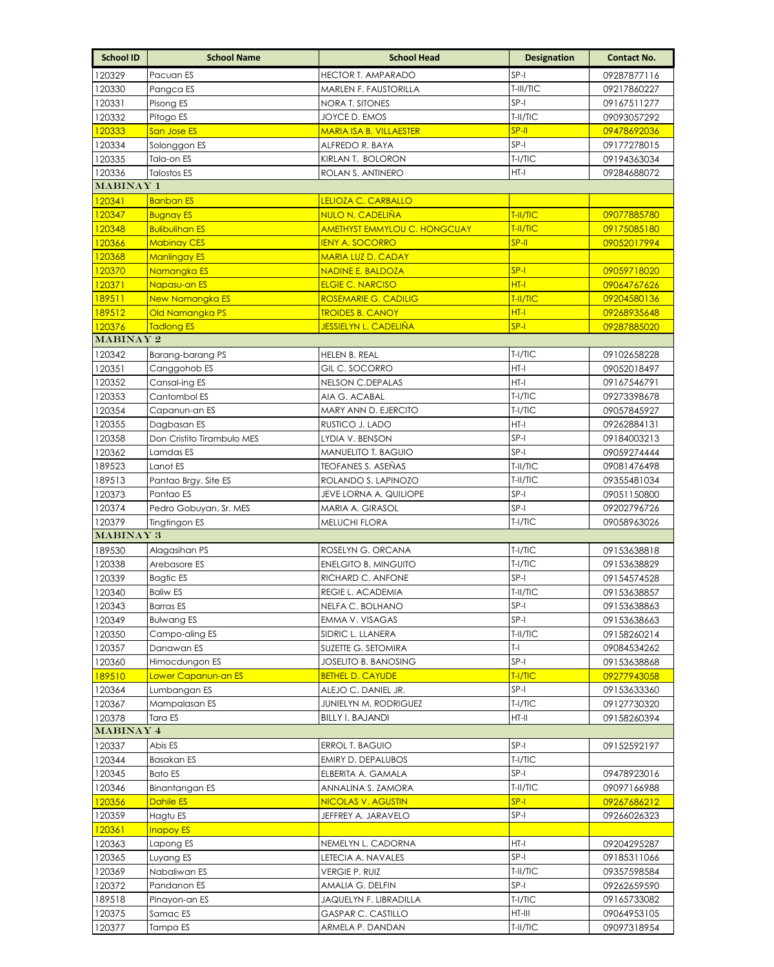| <b>School ID</b>    | <b>School Name</b>                  | <b>School Head</b>                               | <b>Designation</b>  | <b>Contact No.</b>         |
|---------------------|-------------------------------------|--------------------------------------------------|---------------------|----------------------------|
| 120329              | Pacuan ES                           | <b>HECTOR T. AMPARADO</b>                        | $SP-I$              | 09287877116                |
| 120330              | Pangca ES                           | MARLEN F. FAUSTORILLA                            | T-III/TIC           | 09217860227                |
| 120331              | Pisong ES                           | NORA T. SITONES                                  | SP-I                | 09167511277                |
| 120332              | Pitogo ES                           | JOYCE D. EMOS                                    | $T-II/TIC$          | 09093057292                |
| 120333              | San Jose ES                         | <b>MARIA ISA B. VILLAESTER</b>                   | $SP-II$             | 09478692036                |
| 120334              | Solonggon ES                        | ALFREDO R. BAYA                                  | $SP-I$              | 09177278015                |
| 120335              | Tala-on ES                          | KiRLAN T. BOLORON                                | $T-I/TIC$           | 09194363034                |
| 120336              | <b>Talostos ES</b>                  | ROLAN S. ANTINERO                                | $HT-I$              | 09284688072                |
| <b>MABINAY 1</b>    |                                     |                                                  |                     |                            |
| 120341              | <b>Banban ES</b>                    | <mark>LELIOZA C. CARBALLO</mark>                 |                     |                            |
| 120347              | <b>Bugnay ES</b>                    | <u>NULO N. CADELIÑA</u>                          | T-II/TIC            | 09077885780                |
| 120348              | <b>Bulibulihan ES</b>               | <b>AMETHYST EMMYLOU C. HONGCUAY</b>              | T-II/TIC            | 09175085180                |
| 120366              | <b>Mabinay CES</b>                  | <b>IENY A. SOCORRO</b>                           | $SP-H$              | 09052017994                |
| 120368              | <b>Manlingay ES</b>                 | MARIA LUZ D. CADAY                               |                     |                            |
| 120370              | Namangka ES                         | <b>NADINE E. BALDOZA</b>                         | $SP-I$              | 09059718020                |
| 120371              | Napasu-an ES                        | <b>ELGIE C. NARCISO</b>                          | $HT-I$              | 09064767626                |
| 189511              | <b>New Namangka ES</b>              | <b>ROSEMARIE G. CADILIG</b>                      | T-II/TIC            | 09204580136                |
| 189512              | Old Namangka PS                     | <b>TROIDES B. CANOY</b>                          | $HT - I$            | 09268935648                |
| 120376              | <b>Tadlong ES</b>                   | <u>JESSIELYN L. CADELIÑA</u>                     | $SP-I$              | 09287885020                |
| MABINAY 2           |                                     |                                                  |                     |                            |
| 120342              | Barang-barang PS                    | HELEN B. REAL                                    | T-I/TIC             | 09102658228                |
| 120351              | Canggohob ES                        | GIL C. SOCORRO                                   | HT-I                | 09052018497                |
| 120352              | Cansal-ing ES                       | NELSON C.DEPALAS                                 | HT-I                | 09167546791                |
| 120353              | Cantombol ES                        | AIA G. ACABAL                                    | $T-I/TIC$           | 09273398678                |
| 120354              | Capanun-an ES                       | MARY ANN D. EJERCITO                             | $T-I/TIC$           | 09057845927                |
| 120355              | Dagbasan ES                         | RUSTICO J. LADO                                  | $HT-I$              | 09262884131                |
| 120358              | Don Cristito Tirambulo MES          | LYDIA V. BENSON                                  | $SP-I$              | 09184003213                |
| 120362              | Lamdas ES                           | MANUELITO T. BAGUIO                              | SP-I                | 09059274444                |
| 189523              | Lanot ES                            | <b>TEOFANES S. ASENAS</b>                        | T-II/TIC            | 09081476498                |
| 189513              | Pantao Brgy. Site ES                | ROLANDO S. LAPINOZO                              | T-II/TIC            | 09355481034                |
| 120373              | Pantao ES                           | JEVE LORNA A. QUILIOPE                           | $SP-I$              | 09051150800                |
| 120374              | Pedro Gobuyan, Sr. MES              | MARIA A. GIRASOL                                 | $SP-I$              | 09202796726                |
| 120379<br>MABINAY 3 | Tingtingon ES                       | MELUCHI FLORA                                    | $T-I/TIC$           | 09058963026                |
|                     |                                     |                                                  |                     |                            |
| 189530              | Alagasihan PS                       | ROSELYN G. ORCANA                                | $T-I/TIC$           | 09153638818                |
| 120338              | Arebasore ES                        | <b>ENELGITO B. MINGUITO</b><br>RICHARD C. ANFONE | $T-I/TIC$<br>$SP-I$ | 09153638829                |
| 120339<br>120340    | <b>Bagtic ES</b><br><b>Baliw ES</b> | REGIE L. ACADEMIA                                | T-II/TIC            | 09154574528                |
| 120343              | <b>Barras ES</b>                    | NELFA C. BOLHANO                                 | SP-I                | 09153638857<br>09153638863 |
| 120349              | <b>Bulwang ES</b>                   | EMMA V. VISAGAS                                  | $SP-I$              | 09153638663                |
| 120350              | Campo-aling ES                      | SIDRIC L. LLANERA                                | T-II/TIC            | 09158260214                |
| 120357              | Danawan ES                          | SUZETTE G. SETOMIRA                              | $T-1$               | 09084534262                |
| 120360              | Himocdungon ES                      | JOSELITO B. BANOSING                             | SP-I                | 09153638868                |
| 189510              | <mark>Lower Capanun-an ES</mark>    | <b>BETHEL D. CAYUDE</b>                          | T-I/TIC             | 09277943058                |
| 120364              | Lumbangan ES                        | ALEJO C. DANIEL JR.                              | $SP-I$              | 09153633360                |
| 120367              | Mampalasan ES                       | JUNIELYN M. RODRIGUEZ                            | T-I/TIC             | 09127730320                |
| 120378              | Tara ES                             | <b>BILLY I. BAJANDI</b>                          | HT-II               | 09158260394                |
| <b>MABINAY 4</b>    |                                     |                                                  |                     |                            |
| 120337              | Abis ES                             | ERROL T. BAGUIO                                  | $SP-I$              | 09152592197                |
| 120344              | <b>Basakan ES</b>                   | EMIRY D. DEPALUBOS                               | T-I/TIC             |                            |
| 120345              | <b>Bato ES</b>                      | ELBERITA A. GAMALA                               | SP-I                | 09478923016                |
| 120346              | Binantangan ES                      | ANNALINA S. ZAMORA                               | T-II/TIC            | 09097166988                |
| 120356              | Dahile ES                           | NICOLAS V. AGUSTIN                               | $SP-I$              | 09267686212                |
| 120359              | Hagtu ES                            | JEFFREY A. JARAVELO                              | SP-I                | 09266026323                |
| 120361              | <b>Inapoy ES</b>                    |                                                  |                     |                            |
| 120363              | Lapong ES                           | NEMELYN L. CADORNA                               | $HT-I$              | 09204295287                |
| 120365              | Luyang ES                           | LETECIA A. NAVALES                               | $SP-I$              | 09185311066                |
| 120369              | Nabaliwan ES                        | vergie P. Ruiz                                   | T-II/TIC            | 09357598584                |
| 120372              | Pandanon ES                         | AMALIA G. DELFIN                                 | SP-I                | 09262659590                |
| 189518              | Pinayon-an ES                       | JAQUELYN F. LIBRADILLA                           | T-I/TIC             | 09165733082                |
| 120375              | Samac ES                            | <b>GASPAR C. CASTILLO</b>                        | HT-III              | 09064953105                |
| 120377              | Tampa ES                            | ARMELA P. DANDAN                                 | T-II/TIC            | 09097318954                |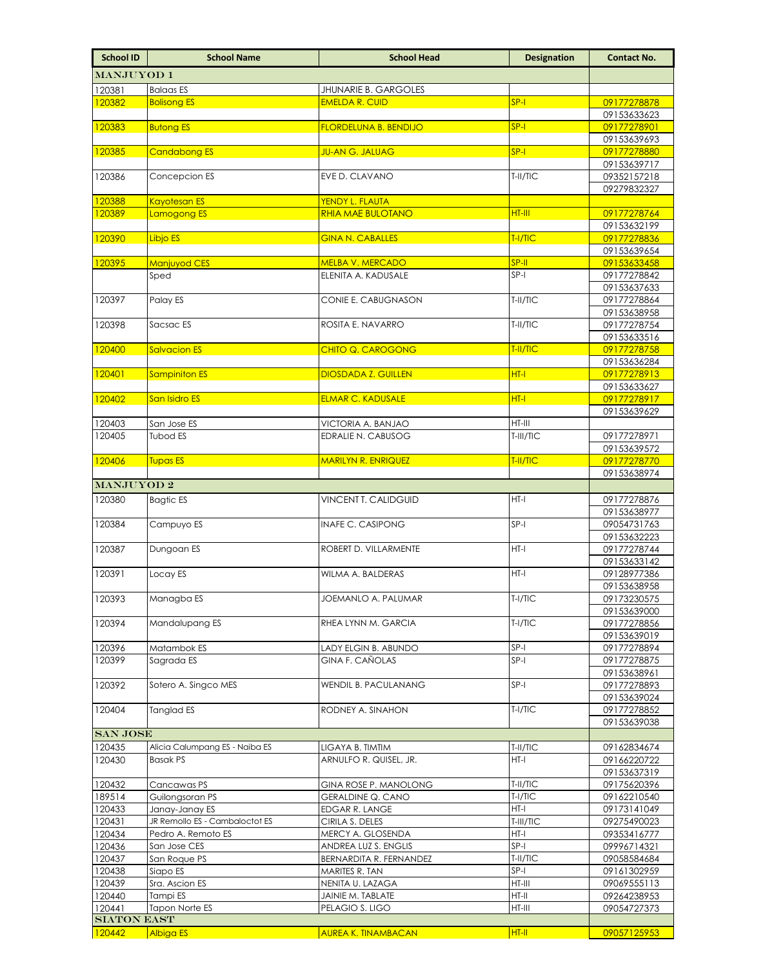| MANJUYOD 1<br>120381<br><b>Balaas ES</b><br><b>JHUNARIE B. GARGOLES</b><br>$SP-I$<br>120382<br><b>Bolisong ES</b><br><b>EMELDA R. CUID</b><br>$SP-I$<br>120383<br><b>Butong ES</b><br><b>FLORDELUNA B. BENDIJO</b><br>$SP-I$<br>120385<br><b>Candabong ES</b><br><b>JU-AN G. JALUAG</b> | 09177278878<br>09153633623<br>09177278901<br>09153639693<br>09177278880<br>09153639717<br>09352157218<br>09279832327<br>09177278764 |
|-----------------------------------------------------------------------------------------------------------------------------------------------------------------------------------------------------------------------------------------------------------------------------------------|-------------------------------------------------------------------------------------------------------------------------------------|
|                                                                                                                                                                                                                                                                                         |                                                                                                                                     |
|                                                                                                                                                                                                                                                                                         |                                                                                                                                     |
|                                                                                                                                                                                                                                                                                         |                                                                                                                                     |
|                                                                                                                                                                                                                                                                                         |                                                                                                                                     |
|                                                                                                                                                                                                                                                                                         |                                                                                                                                     |
|                                                                                                                                                                                                                                                                                         |                                                                                                                                     |
|                                                                                                                                                                                                                                                                                         |                                                                                                                                     |
| T-II/TIC<br>120386<br>Concepcion ES<br>EVE D. CLAVANO                                                                                                                                                                                                                                   |                                                                                                                                     |
|                                                                                                                                                                                                                                                                                         |                                                                                                                                     |
| <b>Kayotesan ES</b><br>120388<br>YENDY L. FLAUTA<br>HT-III<br><b>RHIA MAE BULOTANO</b><br>120389<br>Lamogong ES                                                                                                                                                                         |                                                                                                                                     |
|                                                                                                                                                                                                                                                                                         | 09153632199                                                                                                                         |
| T-I/TIC<br>120390<br><b>GINA N. CABALLES</b><br>Libjo ES                                                                                                                                                                                                                                | 09177278836                                                                                                                         |
|                                                                                                                                                                                                                                                                                         | 09153639654                                                                                                                         |
| SP-II<br><b>Manjuyod CES</b><br><b>MELBA V. MERCADO</b><br>120395                                                                                                                                                                                                                       | 09153633458                                                                                                                         |
| ELENITA A. KADUSALE<br>$SP-I$<br>Sped                                                                                                                                                                                                                                                   | 09177278842                                                                                                                         |
| Palay ES<br>CONIE E. CABUGNASON<br>T-II/TIC<br>120397                                                                                                                                                                                                                                   | 09153637633<br>09177278864                                                                                                          |
|                                                                                                                                                                                                                                                                                         | 09153638958                                                                                                                         |
| Sacsac ES<br>ROSITA E. NAVARRO<br>T-II/TIC<br>120398                                                                                                                                                                                                                                    | 09177278754                                                                                                                         |
|                                                                                                                                                                                                                                                                                         | 09153633516                                                                                                                         |
| <b>Salvacion ES</b><br>CHITO Q. CAROGONG<br>T-II/TIC<br>120400                                                                                                                                                                                                                          | 09177278758                                                                                                                         |
| HT-I<br><b>DIOSDADA Z. GUILLEN</b>                                                                                                                                                                                                                                                      | 09153636284<br>09177278913                                                                                                          |
| <b>Sampiniton ES</b><br>120401                                                                                                                                                                                                                                                          | 09153633627                                                                                                                         |
| HT-I<br>120402<br>San Isidro ES<br><b>ELMAR C. KADUSALE</b>                                                                                                                                                                                                                             | 09177278917                                                                                                                         |
|                                                                                                                                                                                                                                                                                         | 09153639629                                                                                                                         |
| HT-III<br>120403<br>San Jose ES<br>VICTORIA A. BANJAO                                                                                                                                                                                                                                   |                                                                                                                                     |
| EDRALIE N. CABUSOG<br>120405<br>Tubod ES<br>T-III/TIC                                                                                                                                                                                                                                   | 09177278971                                                                                                                         |
| <b>MARILYN R. ENRIQUEZ</b><br>T-II/TIC<br>120406<br><b>Tupas ES</b>                                                                                                                                                                                                                     | 09153639572<br>09177278770                                                                                                          |
|                                                                                                                                                                                                                                                                                         | 09153638974                                                                                                                         |
| MANJUYOD <sub>2</sub>                                                                                                                                                                                                                                                                   |                                                                                                                                     |
| 120380<br>HT-I<br>Bagtic ES<br>VINCENT T. CALIDGUID                                                                                                                                                                                                                                     | 09177278876                                                                                                                         |
|                                                                                                                                                                                                                                                                                         | 09153638977                                                                                                                         |
| $SP-I$<br>120384<br>Campuyo ES<br><b>INAFE C. CASIPONG</b>                                                                                                                                                                                                                              | 09054731763                                                                                                                         |
| 120387<br>HT-I<br>ROBERT D. VILLARMENTE<br>Dungoan ES                                                                                                                                                                                                                                   | 09153632223<br>09177278744                                                                                                          |
|                                                                                                                                                                                                                                                                                         | 09153633142                                                                                                                         |
| HT-I<br>120391<br>WILMA A. BALDERAS<br>Locay ES                                                                                                                                                                                                                                         | 09128977386                                                                                                                         |
|                                                                                                                                                                                                                                                                                         | 09153638958                                                                                                                         |
| $T-I/TIC$<br>Managba ES<br>JOEMANLO A. PALUMAR<br>120393                                                                                                                                                                                                                                | 09173230575<br>09153639000                                                                                                          |
| RHEA LYNN M. GARCIA<br>$T-I/TIC$<br>Mandalupang ES<br>120394                                                                                                                                                                                                                            | 09177278856                                                                                                                         |
|                                                                                                                                                                                                                                                                                         | 09153639019                                                                                                                         |
| 120396<br>$SP-I$<br>Matambok ES<br>LADY ELGIN B. ABUNDO                                                                                                                                                                                                                                 | 09177278894                                                                                                                         |
| $SP-I$<br>120399<br>Sagrada ES<br><b>GINA F. CAÑOLAS</b>                                                                                                                                                                                                                                | 09177278875                                                                                                                         |
| $SP-I$<br>120392<br>Sotero A. Singco MES                                                                                                                                                                                                                                                | 09153638961                                                                                                                         |
| WENDIL B. PACULANANG                                                                                                                                                                                                                                                                    | 09177278893<br>09153639024                                                                                                          |
| $T-I/TIC$<br>120404<br>Tanglad ES<br>RODNEY A. SINAHON                                                                                                                                                                                                                                  | 09177278852                                                                                                                         |
|                                                                                                                                                                                                                                                                                         | 09153639038                                                                                                                         |
| <b>SAN JOSE</b>                                                                                                                                                                                                                                                                         |                                                                                                                                     |
| Alicia Calumpang ES - Naiba ES<br>120435<br>T-II/TIC<br>ligaya b. timtim<br>HT-I                                                                                                                                                                                                        | 09162834674                                                                                                                         |
| ARNULFO R. QUISEL, JR.<br>120430<br><b>Basak PS</b>                                                                                                                                                                                                                                     | 09166220722<br>09153637319                                                                                                          |
| 120432<br>Cancawas PS<br><b>GINA ROSE P. MANOLONG</b><br>T-II/TIC                                                                                                                                                                                                                       | 09175620396                                                                                                                         |
| 189514<br>T-I/TIC<br>Guilongsoran PS<br><b>GERALDINE Q. CANO</b>                                                                                                                                                                                                                        | 09162210540                                                                                                                         |
| 120433<br>Janay-Janay ES<br>EDGAR R. LANGE<br>HT-I                                                                                                                                                                                                                                      | 09173141049                                                                                                                         |
| JR Remollo ES - Cambaloctot ES<br>T-III/TIC<br>120431<br>CIRILA S. DELES                                                                                                                                                                                                                | 09275490023                                                                                                                         |
| 120434<br>Pedro A. Remoto ES<br>MERCY A. GLOSENDA<br>HT-I<br>120436<br>SP-I<br>San Jose CES                                                                                                                                                                                             | 09353416777<br>09996714321                                                                                                          |
| ANDREA LUZ S. ENGLIS<br>120437<br>San Roque PS<br>T-II/TIC<br>BERNARDITA R. FERNANDEZ                                                                                                                                                                                                   | 09058584684                                                                                                                         |
| $SP-I$<br>120438<br>Siapo ES<br>MARITES R. TAN                                                                                                                                                                                                                                          | 09161302959                                                                                                                         |
| HT-III<br>120439<br>Sra. Ascion ES<br>NENITA U. LAZAGA                                                                                                                                                                                                                                  | 09069555113                                                                                                                         |
| 120440<br>Tampi ES<br>JAINIE M. TABLATE<br>HT-II                                                                                                                                                                                                                                        | 09264238953                                                                                                                         |
| 120441<br>PELAGIO S. LIGO<br>HT-III<br>Tapon Norte ES<br><b>SIATON EAST</b>                                                                                                                                                                                                             | 09054727373                                                                                                                         |
| 120442<br>Albiga ES<br><b>AUREA K. TINAMBACAN</b><br>$HT-II$                                                                                                                                                                                                                            | 09057125953                                                                                                                         |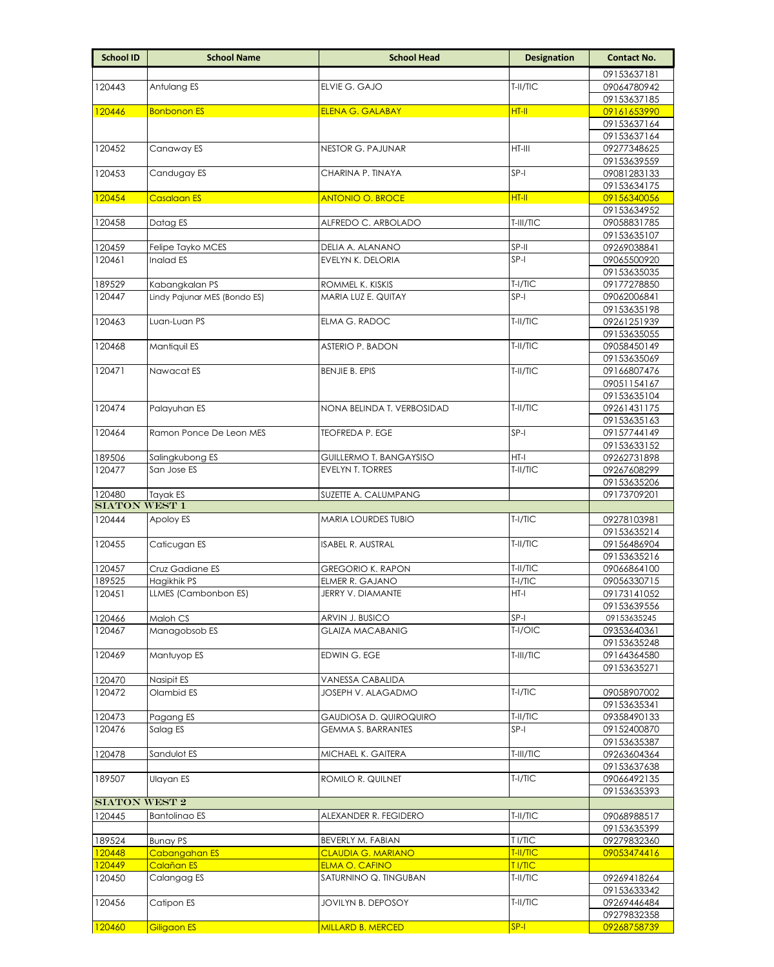| 09153637181<br>T-II/TIC<br>120443<br>Antulang ES<br>ELVIE G. GAJO<br>09064780942<br>09153637185<br>HT-II<br>120446<br><b>Bonbonon ES</b><br>09161653990<br><b>ELENA G. GALABAY</b><br>09153637164<br>09153637164<br>Canaway ES<br><b>NESTOR G. PAJUNAR</b><br>$HT-III$<br>120452<br>09277348625<br>09153639559<br>SP-I<br>120453<br>Candugay ES<br>CHARINA P. TINAYA<br>09081283133<br>09153634175<br>HT-II<br>120454<br>Casalaan ES<br><b>ANTONIO O. BROCE</b><br>09156340056<br>09153634952<br>T-III/TIC<br>120458<br>Datag ES<br>ALFREDO C. ARBOLADO<br>09058831785<br>09153635107<br>SP-II<br>120459<br>Felipe Tayko MCES<br>DELIA A. ALANANO<br>09269038841<br>Inalad ES<br>$SP-I$<br>120461<br>EVELYN K. DELORIA<br>09065500920<br>09153635035<br>189529<br>Kabangkalan PS<br>ROMMEL K. KISKIS<br>T-I/TIC<br>09177278850<br>Lindy Pajunar MES (Bondo ES)<br>$SP-I$<br>MARIA LUZ E. QUITAY<br>120447<br>09062006841<br>09153635198<br>T-II/TIC<br>Luan-Luan PS<br>FLMA G. RADOC<br>120463<br>09261251939<br>09153635055<br>Mantiquil ES<br>120468<br>ASTERIO P. BADON<br>T-II/TIC<br>09058450149<br>09153635069<br>T-II/TIC<br>120471<br>Nawacat ES<br><b>BENJIE B. EPIS</b><br>09166807476<br>09051154167<br>09153635104<br>T-II/TIC<br>120474<br>Palayuhan ES<br>NONA BELINDA T. VERBOSIDAD<br>09261431175<br>09153635163<br>$SP-I$<br>120464<br>Ramon Ponce De Leon MES<br><b>TEOFREDA P. EGE</b><br>09157744149<br>09153633152<br>$HT-I$<br>189506<br>Salingkubong ES<br>09262731898<br>GUILLERMO T. BANGAYSISO<br>San Jose ES<br>EVELYN T. TORRES<br>T-II/TIC<br>120477<br>09267608299<br>09153635206<br>120480<br>09173709201<br>Tayak ES<br>SUZETTE A. CALUMPANG<br><b>SIATON WEST 1</b><br>120444<br>$T-I/TIC$<br>Apoloy ES<br>MARIA LOURDES TUBIO<br>09278103981<br>09153635214<br>T-II/TIC<br>120455<br>Caticugan ES<br>ISABEL R. AUSTRAL<br>09156486904<br>09153635216<br>T-II/TIC<br>120457<br>Cruz Gadiane ES<br><b>GREGORIO K. RAPON</b><br>09066864100<br>Hagikhik PS<br>189525<br>ELMER R. GAJANO<br>T-I/TIC<br>09056330715<br>LLMES (Cambonbon ES)<br>HT-I<br>120451<br>JERRY V. DIAMANTE<br>09173141052<br>09153639556<br>$SP-I$<br>120466<br>Maloh CS<br>ARVIN J. BUSICO<br>09153635245<br>T-I/OIC<br>Managobsob ES<br><b>GLAIZA MACABANIG</b><br>120467<br>09353640361<br>09153635248<br>120469<br>Mantuyop ES<br>EDWIN G. EGE<br>T-III/TIC<br>09164364580<br>09153635271<br>120470<br>Nasipit ES<br>VANESSA CABALIDA<br>Olambid ES<br>JOSEPH V. ALAGADMO<br>$T-I/TIC$<br>09058907002<br>120472<br>09153635341<br>120473<br>Pagang ES<br>GAUDIOSA D. QUIROQUIRO<br>T-II/TIC<br>09358490133<br>$SP-I$<br>120476<br>Salag ES<br><b>GEMMA S. BARRANTES</b><br>09152400870<br>09153635387<br>120478<br>T-III/TIC<br>09263604364<br>Sandulot ES<br>MICHAEL K. GAITERA<br>09153637638<br>$T-1/TIC$<br>Ulayan ES<br>ROMILO R. QUILNET<br>189507<br>09066492135<br>09153635393<br><b>SIATON WEST 2</b><br>T-II/TIC<br>120445<br><b>Bantolinao ES</b><br>ALEXANDER R. FEGIDERO<br>09068988517<br>09153635399<br>189524<br><b>Bunay PS</b><br>BEVERLY M. FABIAN<br>T I/TIC<br>09279832360<br>120448<br>CLAUDIA G. MARIANO<br>T-II/TIC<br>Cabangahan ES<br>09053474416<br>120449<br>ELMA O. CAFINO<br>T I/TIC<br>Calañan ES<br>SATURNINO Q. TINGUBAN<br>120450<br>Calangag ES<br>T-II/TIC<br>09269418264<br>09153633342<br>Catipon ES<br>JOVILYN B. DEPOSOY<br>T-II/TIC<br>09269446484<br>120456<br>09279832358<br>$SP-I$<br>120460<br>Giligaon ES<br><b>MILLARD B. MERCED</b><br>09268758739 | <b>School ID</b> | <b>School Name</b> | <b>School Head</b> | <b>Designation</b> | <b>Contact No.</b> |
|-------------------------------------------------------------------------------------------------------------------------------------------------------------------------------------------------------------------------------------------------------------------------------------------------------------------------------------------------------------------------------------------------------------------------------------------------------------------------------------------------------------------------------------------------------------------------------------------------------------------------------------------------------------------------------------------------------------------------------------------------------------------------------------------------------------------------------------------------------------------------------------------------------------------------------------------------------------------------------------------------------------------------------------------------------------------------------------------------------------------------------------------------------------------------------------------------------------------------------------------------------------------------------------------------------------------------------------------------------------------------------------------------------------------------------------------------------------------------------------------------------------------------------------------------------------------------------------------------------------------------------------------------------------------------------------------------------------------------------------------------------------------------------------------------------------------------------------------------------------------------------------------------------------------------------------------------------------------------------------------------------------------------------------------------------------------------------------------------------------------------------------------------------------------------------------------------------------------------------------------------------------------------------------------------------------------------------------------------------------------------------------------------------------------------------------------------------------------------------------------------------------------------------------------------------------------------------------------------------------------------------------------------------------------------------------------------------------------------------------------------------------------------------------------------------------------------------------------------------------------------------------------------------------------------------------------------------------------------------------------------------------------------------------------------------------------------------------------------------------------------------------------------------------------------------------------------------------------------------------------------------------------------------------------------------------------------------------------------------------------------------------------------------------------------------------------------------------------------------------------------------------|------------------|--------------------|--------------------|--------------------|--------------------|
|                                                                                                                                                                                                                                                                                                                                                                                                                                                                                                                                                                                                                                                                                                                                                                                                                                                                                                                                                                                                                                                                                                                                                                                                                                                                                                                                                                                                                                                                                                                                                                                                                                                                                                                                                                                                                                                                                                                                                                                                                                                                                                                                                                                                                                                                                                                                                                                                                                                                                                                                                                                                                                                                                                                                                                                                                                                                                                                                                                                                                                                                                                                                                                                                                                                                                                                                                                                                                                                                                                             |                  |                    |                    |                    |                    |
|                                                                                                                                                                                                                                                                                                                                                                                                                                                                                                                                                                                                                                                                                                                                                                                                                                                                                                                                                                                                                                                                                                                                                                                                                                                                                                                                                                                                                                                                                                                                                                                                                                                                                                                                                                                                                                                                                                                                                                                                                                                                                                                                                                                                                                                                                                                                                                                                                                                                                                                                                                                                                                                                                                                                                                                                                                                                                                                                                                                                                                                                                                                                                                                                                                                                                                                                                                                                                                                                                                             |                  |                    |                    |                    |                    |
|                                                                                                                                                                                                                                                                                                                                                                                                                                                                                                                                                                                                                                                                                                                                                                                                                                                                                                                                                                                                                                                                                                                                                                                                                                                                                                                                                                                                                                                                                                                                                                                                                                                                                                                                                                                                                                                                                                                                                                                                                                                                                                                                                                                                                                                                                                                                                                                                                                                                                                                                                                                                                                                                                                                                                                                                                                                                                                                                                                                                                                                                                                                                                                                                                                                                                                                                                                                                                                                                                                             |                  |                    |                    |                    |                    |
|                                                                                                                                                                                                                                                                                                                                                                                                                                                                                                                                                                                                                                                                                                                                                                                                                                                                                                                                                                                                                                                                                                                                                                                                                                                                                                                                                                                                                                                                                                                                                                                                                                                                                                                                                                                                                                                                                                                                                                                                                                                                                                                                                                                                                                                                                                                                                                                                                                                                                                                                                                                                                                                                                                                                                                                                                                                                                                                                                                                                                                                                                                                                                                                                                                                                                                                                                                                                                                                                                                             |                  |                    |                    |                    |                    |
|                                                                                                                                                                                                                                                                                                                                                                                                                                                                                                                                                                                                                                                                                                                                                                                                                                                                                                                                                                                                                                                                                                                                                                                                                                                                                                                                                                                                                                                                                                                                                                                                                                                                                                                                                                                                                                                                                                                                                                                                                                                                                                                                                                                                                                                                                                                                                                                                                                                                                                                                                                                                                                                                                                                                                                                                                                                                                                                                                                                                                                                                                                                                                                                                                                                                                                                                                                                                                                                                                                             |                  |                    |                    |                    |                    |
|                                                                                                                                                                                                                                                                                                                                                                                                                                                                                                                                                                                                                                                                                                                                                                                                                                                                                                                                                                                                                                                                                                                                                                                                                                                                                                                                                                                                                                                                                                                                                                                                                                                                                                                                                                                                                                                                                                                                                                                                                                                                                                                                                                                                                                                                                                                                                                                                                                                                                                                                                                                                                                                                                                                                                                                                                                                                                                                                                                                                                                                                                                                                                                                                                                                                                                                                                                                                                                                                                                             |                  |                    |                    |                    |                    |
|                                                                                                                                                                                                                                                                                                                                                                                                                                                                                                                                                                                                                                                                                                                                                                                                                                                                                                                                                                                                                                                                                                                                                                                                                                                                                                                                                                                                                                                                                                                                                                                                                                                                                                                                                                                                                                                                                                                                                                                                                                                                                                                                                                                                                                                                                                                                                                                                                                                                                                                                                                                                                                                                                                                                                                                                                                                                                                                                                                                                                                                                                                                                                                                                                                                                                                                                                                                                                                                                                                             |                  |                    |                    |                    |                    |
|                                                                                                                                                                                                                                                                                                                                                                                                                                                                                                                                                                                                                                                                                                                                                                                                                                                                                                                                                                                                                                                                                                                                                                                                                                                                                                                                                                                                                                                                                                                                                                                                                                                                                                                                                                                                                                                                                                                                                                                                                                                                                                                                                                                                                                                                                                                                                                                                                                                                                                                                                                                                                                                                                                                                                                                                                                                                                                                                                                                                                                                                                                                                                                                                                                                                                                                                                                                                                                                                                                             |                  |                    |                    |                    |                    |
|                                                                                                                                                                                                                                                                                                                                                                                                                                                                                                                                                                                                                                                                                                                                                                                                                                                                                                                                                                                                                                                                                                                                                                                                                                                                                                                                                                                                                                                                                                                                                                                                                                                                                                                                                                                                                                                                                                                                                                                                                                                                                                                                                                                                                                                                                                                                                                                                                                                                                                                                                                                                                                                                                                                                                                                                                                                                                                                                                                                                                                                                                                                                                                                                                                                                                                                                                                                                                                                                                                             |                  |                    |                    |                    |                    |
|                                                                                                                                                                                                                                                                                                                                                                                                                                                                                                                                                                                                                                                                                                                                                                                                                                                                                                                                                                                                                                                                                                                                                                                                                                                                                                                                                                                                                                                                                                                                                                                                                                                                                                                                                                                                                                                                                                                                                                                                                                                                                                                                                                                                                                                                                                                                                                                                                                                                                                                                                                                                                                                                                                                                                                                                                                                                                                                                                                                                                                                                                                                                                                                                                                                                                                                                                                                                                                                                                                             |                  |                    |                    |                    |                    |
|                                                                                                                                                                                                                                                                                                                                                                                                                                                                                                                                                                                                                                                                                                                                                                                                                                                                                                                                                                                                                                                                                                                                                                                                                                                                                                                                                                                                                                                                                                                                                                                                                                                                                                                                                                                                                                                                                                                                                                                                                                                                                                                                                                                                                                                                                                                                                                                                                                                                                                                                                                                                                                                                                                                                                                                                                                                                                                                                                                                                                                                                                                                                                                                                                                                                                                                                                                                                                                                                                                             |                  |                    |                    |                    |                    |
|                                                                                                                                                                                                                                                                                                                                                                                                                                                                                                                                                                                                                                                                                                                                                                                                                                                                                                                                                                                                                                                                                                                                                                                                                                                                                                                                                                                                                                                                                                                                                                                                                                                                                                                                                                                                                                                                                                                                                                                                                                                                                                                                                                                                                                                                                                                                                                                                                                                                                                                                                                                                                                                                                                                                                                                                                                                                                                                                                                                                                                                                                                                                                                                                                                                                                                                                                                                                                                                                                                             |                  |                    |                    |                    |                    |
|                                                                                                                                                                                                                                                                                                                                                                                                                                                                                                                                                                                                                                                                                                                                                                                                                                                                                                                                                                                                                                                                                                                                                                                                                                                                                                                                                                                                                                                                                                                                                                                                                                                                                                                                                                                                                                                                                                                                                                                                                                                                                                                                                                                                                                                                                                                                                                                                                                                                                                                                                                                                                                                                                                                                                                                                                                                                                                                                                                                                                                                                                                                                                                                                                                                                                                                                                                                                                                                                                                             |                  |                    |                    |                    |                    |
|                                                                                                                                                                                                                                                                                                                                                                                                                                                                                                                                                                                                                                                                                                                                                                                                                                                                                                                                                                                                                                                                                                                                                                                                                                                                                                                                                                                                                                                                                                                                                                                                                                                                                                                                                                                                                                                                                                                                                                                                                                                                                                                                                                                                                                                                                                                                                                                                                                                                                                                                                                                                                                                                                                                                                                                                                                                                                                                                                                                                                                                                                                                                                                                                                                                                                                                                                                                                                                                                                                             |                  |                    |                    |                    |                    |
|                                                                                                                                                                                                                                                                                                                                                                                                                                                                                                                                                                                                                                                                                                                                                                                                                                                                                                                                                                                                                                                                                                                                                                                                                                                                                                                                                                                                                                                                                                                                                                                                                                                                                                                                                                                                                                                                                                                                                                                                                                                                                                                                                                                                                                                                                                                                                                                                                                                                                                                                                                                                                                                                                                                                                                                                                                                                                                                                                                                                                                                                                                                                                                                                                                                                                                                                                                                                                                                                                                             |                  |                    |                    |                    |                    |
|                                                                                                                                                                                                                                                                                                                                                                                                                                                                                                                                                                                                                                                                                                                                                                                                                                                                                                                                                                                                                                                                                                                                                                                                                                                                                                                                                                                                                                                                                                                                                                                                                                                                                                                                                                                                                                                                                                                                                                                                                                                                                                                                                                                                                                                                                                                                                                                                                                                                                                                                                                                                                                                                                                                                                                                                                                                                                                                                                                                                                                                                                                                                                                                                                                                                                                                                                                                                                                                                                                             |                  |                    |                    |                    |                    |
|                                                                                                                                                                                                                                                                                                                                                                                                                                                                                                                                                                                                                                                                                                                                                                                                                                                                                                                                                                                                                                                                                                                                                                                                                                                                                                                                                                                                                                                                                                                                                                                                                                                                                                                                                                                                                                                                                                                                                                                                                                                                                                                                                                                                                                                                                                                                                                                                                                                                                                                                                                                                                                                                                                                                                                                                                                                                                                                                                                                                                                                                                                                                                                                                                                                                                                                                                                                                                                                                                                             |                  |                    |                    |                    |                    |
|                                                                                                                                                                                                                                                                                                                                                                                                                                                                                                                                                                                                                                                                                                                                                                                                                                                                                                                                                                                                                                                                                                                                                                                                                                                                                                                                                                                                                                                                                                                                                                                                                                                                                                                                                                                                                                                                                                                                                                                                                                                                                                                                                                                                                                                                                                                                                                                                                                                                                                                                                                                                                                                                                                                                                                                                                                                                                                                                                                                                                                                                                                                                                                                                                                                                                                                                                                                                                                                                                                             |                  |                    |                    |                    |                    |
|                                                                                                                                                                                                                                                                                                                                                                                                                                                                                                                                                                                                                                                                                                                                                                                                                                                                                                                                                                                                                                                                                                                                                                                                                                                                                                                                                                                                                                                                                                                                                                                                                                                                                                                                                                                                                                                                                                                                                                                                                                                                                                                                                                                                                                                                                                                                                                                                                                                                                                                                                                                                                                                                                                                                                                                                                                                                                                                                                                                                                                                                                                                                                                                                                                                                                                                                                                                                                                                                                                             |                  |                    |                    |                    |                    |
|                                                                                                                                                                                                                                                                                                                                                                                                                                                                                                                                                                                                                                                                                                                                                                                                                                                                                                                                                                                                                                                                                                                                                                                                                                                                                                                                                                                                                                                                                                                                                                                                                                                                                                                                                                                                                                                                                                                                                                                                                                                                                                                                                                                                                                                                                                                                                                                                                                                                                                                                                                                                                                                                                                                                                                                                                                                                                                                                                                                                                                                                                                                                                                                                                                                                                                                                                                                                                                                                                                             |                  |                    |                    |                    |                    |
|                                                                                                                                                                                                                                                                                                                                                                                                                                                                                                                                                                                                                                                                                                                                                                                                                                                                                                                                                                                                                                                                                                                                                                                                                                                                                                                                                                                                                                                                                                                                                                                                                                                                                                                                                                                                                                                                                                                                                                                                                                                                                                                                                                                                                                                                                                                                                                                                                                                                                                                                                                                                                                                                                                                                                                                                                                                                                                                                                                                                                                                                                                                                                                                                                                                                                                                                                                                                                                                                                                             |                  |                    |                    |                    |                    |
|                                                                                                                                                                                                                                                                                                                                                                                                                                                                                                                                                                                                                                                                                                                                                                                                                                                                                                                                                                                                                                                                                                                                                                                                                                                                                                                                                                                                                                                                                                                                                                                                                                                                                                                                                                                                                                                                                                                                                                                                                                                                                                                                                                                                                                                                                                                                                                                                                                                                                                                                                                                                                                                                                                                                                                                                                                                                                                                                                                                                                                                                                                                                                                                                                                                                                                                                                                                                                                                                                                             |                  |                    |                    |                    |                    |
|                                                                                                                                                                                                                                                                                                                                                                                                                                                                                                                                                                                                                                                                                                                                                                                                                                                                                                                                                                                                                                                                                                                                                                                                                                                                                                                                                                                                                                                                                                                                                                                                                                                                                                                                                                                                                                                                                                                                                                                                                                                                                                                                                                                                                                                                                                                                                                                                                                                                                                                                                                                                                                                                                                                                                                                                                                                                                                                                                                                                                                                                                                                                                                                                                                                                                                                                                                                                                                                                                                             |                  |                    |                    |                    |                    |
|                                                                                                                                                                                                                                                                                                                                                                                                                                                                                                                                                                                                                                                                                                                                                                                                                                                                                                                                                                                                                                                                                                                                                                                                                                                                                                                                                                                                                                                                                                                                                                                                                                                                                                                                                                                                                                                                                                                                                                                                                                                                                                                                                                                                                                                                                                                                                                                                                                                                                                                                                                                                                                                                                                                                                                                                                                                                                                                                                                                                                                                                                                                                                                                                                                                                                                                                                                                                                                                                                                             |                  |                    |                    |                    |                    |
|                                                                                                                                                                                                                                                                                                                                                                                                                                                                                                                                                                                                                                                                                                                                                                                                                                                                                                                                                                                                                                                                                                                                                                                                                                                                                                                                                                                                                                                                                                                                                                                                                                                                                                                                                                                                                                                                                                                                                                                                                                                                                                                                                                                                                                                                                                                                                                                                                                                                                                                                                                                                                                                                                                                                                                                                                                                                                                                                                                                                                                                                                                                                                                                                                                                                                                                                                                                                                                                                                                             |                  |                    |                    |                    |                    |
|                                                                                                                                                                                                                                                                                                                                                                                                                                                                                                                                                                                                                                                                                                                                                                                                                                                                                                                                                                                                                                                                                                                                                                                                                                                                                                                                                                                                                                                                                                                                                                                                                                                                                                                                                                                                                                                                                                                                                                                                                                                                                                                                                                                                                                                                                                                                                                                                                                                                                                                                                                                                                                                                                                                                                                                                                                                                                                                                                                                                                                                                                                                                                                                                                                                                                                                                                                                                                                                                                                             |                  |                    |                    |                    |                    |
|                                                                                                                                                                                                                                                                                                                                                                                                                                                                                                                                                                                                                                                                                                                                                                                                                                                                                                                                                                                                                                                                                                                                                                                                                                                                                                                                                                                                                                                                                                                                                                                                                                                                                                                                                                                                                                                                                                                                                                                                                                                                                                                                                                                                                                                                                                                                                                                                                                                                                                                                                                                                                                                                                                                                                                                                                                                                                                                                                                                                                                                                                                                                                                                                                                                                                                                                                                                                                                                                                                             |                  |                    |                    |                    |                    |
|                                                                                                                                                                                                                                                                                                                                                                                                                                                                                                                                                                                                                                                                                                                                                                                                                                                                                                                                                                                                                                                                                                                                                                                                                                                                                                                                                                                                                                                                                                                                                                                                                                                                                                                                                                                                                                                                                                                                                                                                                                                                                                                                                                                                                                                                                                                                                                                                                                                                                                                                                                                                                                                                                                                                                                                                                                                                                                                                                                                                                                                                                                                                                                                                                                                                                                                                                                                                                                                                                                             |                  |                    |                    |                    |                    |
|                                                                                                                                                                                                                                                                                                                                                                                                                                                                                                                                                                                                                                                                                                                                                                                                                                                                                                                                                                                                                                                                                                                                                                                                                                                                                                                                                                                                                                                                                                                                                                                                                                                                                                                                                                                                                                                                                                                                                                                                                                                                                                                                                                                                                                                                                                                                                                                                                                                                                                                                                                                                                                                                                                                                                                                                                                                                                                                                                                                                                                                                                                                                                                                                                                                                                                                                                                                                                                                                                                             |                  |                    |                    |                    |                    |
|                                                                                                                                                                                                                                                                                                                                                                                                                                                                                                                                                                                                                                                                                                                                                                                                                                                                                                                                                                                                                                                                                                                                                                                                                                                                                                                                                                                                                                                                                                                                                                                                                                                                                                                                                                                                                                                                                                                                                                                                                                                                                                                                                                                                                                                                                                                                                                                                                                                                                                                                                                                                                                                                                                                                                                                                                                                                                                                                                                                                                                                                                                                                                                                                                                                                                                                                                                                                                                                                                                             |                  |                    |                    |                    |                    |
|                                                                                                                                                                                                                                                                                                                                                                                                                                                                                                                                                                                                                                                                                                                                                                                                                                                                                                                                                                                                                                                                                                                                                                                                                                                                                                                                                                                                                                                                                                                                                                                                                                                                                                                                                                                                                                                                                                                                                                                                                                                                                                                                                                                                                                                                                                                                                                                                                                                                                                                                                                                                                                                                                                                                                                                                                                                                                                                                                                                                                                                                                                                                                                                                                                                                                                                                                                                                                                                                                                             |                  |                    |                    |                    |                    |
|                                                                                                                                                                                                                                                                                                                                                                                                                                                                                                                                                                                                                                                                                                                                                                                                                                                                                                                                                                                                                                                                                                                                                                                                                                                                                                                                                                                                                                                                                                                                                                                                                                                                                                                                                                                                                                                                                                                                                                                                                                                                                                                                                                                                                                                                                                                                                                                                                                                                                                                                                                                                                                                                                                                                                                                                                                                                                                                                                                                                                                                                                                                                                                                                                                                                                                                                                                                                                                                                                                             |                  |                    |                    |                    |                    |
|                                                                                                                                                                                                                                                                                                                                                                                                                                                                                                                                                                                                                                                                                                                                                                                                                                                                                                                                                                                                                                                                                                                                                                                                                                                                                                                                                                                                                                                                                                                                                                                                                                                                                                                                                                                                                                                                                                                                                                                                                                                                                                                                                                                                                                                                                                                                                                                                                                                                                                                                                                                                                                                                                                                                                                                                                                                                                                                                                                                                                                                                                                                                                                                                                                                                                                                                                                                                                                                                                                             |                  |                    |                    |                    |                    |
|                                                                                                                                                                                                                                                                                                                                                                                                                                                                                                                                                                                                                                                                                                                                                                                                                                                                                                                                                                                                                                                                                                                                                                                                                                                                                                                                                                                                                                                                                                                                                                                                                                                                                                                                                                                                                                                                                                                                                                                                                                                                                                                                                                                                                                                                                                                                                                                                                                                                                                                                                                                                                                                                                                                                                                                                                                                                                                                                                                                                                                                                                                                                                                                                                                                                                                                                                                                                                                                                                                             |                  |                    |                    |                    |                    |
|                                                                                                                                                                                                                                                                                                                                                                                                                                                                                                                                                                                                                                                                                                                                                                                                                                                                                                                                                                                                                                                                                                                                                                                                                                                                                                                                                                                                                                                                                                                                                                                                                                                                                                                                                                                                                                                                                                                                                                                                                                                                                                                                                                                                                                                                                                                                                                                                                                                                                                                                                                                                                                                                                                                                                                                                                                                                                                                                                                                                                                                                                                                                                                                                                                                                                                                                                                                                                                                                                                             |                  |                    |                    |                    |                    |
|                                                                                                                                                                                                                                                                                                                                                                                                                                                                                                                                                                                                                                                                                                                                                                                                                                                                                                                                                                                                                                                                                                                                                                                                                                                                                                                                                                                                                                                                                                                                                                                                                                                                                                                                                                                                                                                                                                                                                                                                                                                                                                                                                                                                                                                                                                                                                                                                                                                                                                                                                                                                                                                                                                                                                                                                                                                                                                                                                                                                                                                                                                                                                                                                                                                                                                                                                                                                                                                                                                             |                  |                    |                    |                    |                    |
|                                                                                                                                                                                                                                                                                                                                                                                                                                                                                                                                                                                                                                                                                                                                                                                                                                                                                                                                                                                                                                                                                                                                                                                                                                                                                                                                                                                                                                                                                                                                                                                                                                                                                                                                                                                                                                                                                                                                                                                                                                                                                                                                                                                                                                                                                                                                                                                                                                                                                                                                                                                                                                                                                                                                                                                                                                                                                                                                                                                                                                                                                                                                                                                                                                                                                                                                                                                                                                                                                                             |                  |                    |                    |                    |                    |
|                                                                                                                                                                                                                                                                                                                                                                                                                                                                                                                                                                                                                                                                                                                                                                                                                                                                                                                                                                                                                                                                                                                                                                                                                                                                                                                                                                                                                                                                                                                                                                                                                                                                                                                                                                                                                                                                                                                                                                                                                                                                                                                                                                                                                                                                                                                                                                                                                                                                                                                                                                                                                                                                                                                                                                                                                                                                                                                                                                                                                                                                                                                                                                                                                                                                                                                                                                                                                                                                                                             |                  |                    |                    |                    |                    |
|                                                                                                                                                                                                                                                                                                                                                                                                                                                                                                                                                                                                                                                                                                                                                                                                                                                                                                                                                                                                                                                                                                                                                                                                                                                                                                                                                                                                                                                                                                                                                                                                                                                                                                                                                                                                                                                                                                                                                                                                                                                                                                                                                                                                                                                                                                                                                                                                                                                                                                                                                                                                                                                                                                                                                                                                                                                                                                                                                                                                                                                                                                                                                                                                                                                                                                                                                                                                                                                                                                             |                  |                    |                    |                    |                    |
|                                                                                                                                                                                                                                                                                                                                                                                                                                                                                                                                                                                                                                                                                                                                                                                                                                                                                                                                                                                                                                                                                                                                                                                                                                                                                                                                                                                                                                                                                                                                                                                                                                                                                                                                                                                                                                                                                                                                                                                                                                                                                                                                                                                                                                                                                                                                                                                                                                                                                                                                                                                                                                                                                                                                                                                                                                                                                                                                                                                                                                                                                                                                                                                                                                                                                                                                                                                                                                                                                                             |                  |                    |                    |                    |                    |
|                                                                                                                                                                                                                                                                                                                                                                                                                                                                                                                                                                                                                                                                                                                                                                                                                                                                                                                                                                                                                                                                                                                                                                                                                                                                                                                                                                                                                                                                                                                                                                                                                                                                                                                                                                                                                                                                                                                                                                                                                                                                                                                                                                                                                                                                                                                                                                                                                                                                                                                                                                                                                                                                                                                                                                                                                                                                                                                                                                                                                                                                                                                                                                                                                                                                                                                                                                                                                                                                                                             |                  |                    |                    |                    |                    |
|                                                                                                                                                                                                                                                                                                                                                                                                                                                                                                                                                                                                                                                                                                                                                                                                                                                                                                                                                                                                                                                                                                                                                                                                                                                                                                                                                                                                                                                                                                                                                                                                                                                                                                                                                                                                                                                                                                                                                                                                                                                                                                                                                                                                                                                                                                                                                                                                                                                                                                                                                                                                                                                                                                                                                                                                                                                                                                                                                                                                                                                                                                                                                                                                                                                                                                                                                                                                                                                                                                             |                  |                    |                    |                    |                    |
|                                                                                                                                                                                                                                                                                                                                                                                                                                                                                                                                                                                                                                                                                                                                                                                                                                                                                                                                                                                                                                                                                                                                                                                                                                                                                                                                                                                                                                                                                                                                                                                                                                                                                                                                                                                                                                                                                                                                                                                                                                                                                                                                                                                                                                                                                                                                                                                                                                                                                                                                                                                                                                                                                                                                                                                                                                                                                                                                                                                                                                                                                                                                                                                                                                                                                                                                                                                                                                                                                                             |                  |                    |                    |                    |                    |
|                                                                                                                                                                                                                                                                                                                                                                                                                                                                                                                                                                                                                                                                                                                                                                                                                                                                                                                                                                                                                                                                                                                                                                                                                                                                                                                                                                                                                                                                                                                                                                                                                                                                                                                                                                                                                                                                                                                                                                                                                                                                                                                                                                                                                                                                                                                                                                                                                                                                                                                                                                                                                                                                                                                                                                                                                                                                                                                                                                                                                                                                                                                                                                                                                                                                                                                                                                                                                                                                                                             |                  |                    |                    |                    |                    |
|                                                                                                                                                                                                                                                                                                                                                                                                                                                                                                                                                                                                                                                                                                                                                                                                                                                                                                                                                                                                                                                                                                                                                                                                                                                                                                                                                                                                                                                                                                                                                                                                                                                                                                                                                                                                                                                                                                                                                                                                                                                                                                                                                                                                                                                                                                                                                                                                                                                                                                                                                                                                                                                                                                                                                                                                                                                                                                                                                                                                                                                                                                                                                                                                                                                                                                                                                                                                                                                                                                             |                  |                    |                    |                    |                    |
|                                                                                                                                                                                                                                                                                                                                                                                                                                                                                                                                                                                                                                                                                                                                                                                                                                                                                                                                                                                                                                                                                                                                                                                                                                                                                                                                                                                                                                                                                                                                                                                                                                                                                                                                                                                                                                                                                                                                                                                                                                                                                                                                                                                                                                                                                                                                                                                                                                                                                                                                                                                                                                                                                                                                                                                                                                                                                                                                                                                                                                                                                                                                                                                                                                                                                                                                                                                                                                                                                                             |                  |                    |                    |                    |                    |
|                                                                                                                                                                                                                                                                                                                                                                                                                                                                                                                                                                                                                                                                                                                                                                                                                                                                                                                                                                                                                                                                                                                                                                                                                                                                                                                                                                                                                                                                                                                                                                                                                                                                                                                                                                                                                                                                                                                                                                                                                                                                                                                                                                                                                                                                                                                                                                                                                                                                                                                                                                                                                                                                                                                                                                                                                                                                                                                                                                                                                                                                                                                                                                                                                                                                                                                                                                                                                                                                                                             |                  |                    |                    |                    |                    |
|                                                                                                                                                                                                                                                                                                                                                                                                                                                                                                                                                                                                                                                                                                                                                                                                                                                                                                                                                                                                                                                                                                                                                                                                                                                                                                                                                                                                                                                                                                                                                                                                                                                                                                                                                                                                                                                                                                                                                                                                                                                                                                                                                                                                                                                                                                                                                                                                                                                                                                                                                                                                                                                                                                                                                                                                                                                                                                                                                                                                                                                                                                                                                                                                                                                                                                                                                                                                                                                                                                             |                  |                    |                    |                    |                    |
|                                                                                                                                                                                                                                                                                                                                                                                                                                                                                                                                                                                                                                                                                                                                                                                                                                                                                                                                                                                                                                                                                                                                                                                                                                                                                                                                                                                                                                                                                                                                                                                                                                                                                                                                                                                                                                                                                                                                                                                                                                                                                                                                                                                                                                                                                                                                                                                                                                                                                                                                                                                                                                                                                                                                                                                                                                                                                                                                                                                                                                                                                                                                                                                                                                                                                                                                                                                                                                                                                                             |                  |                    |                    |                    |                    |
|                                                                                                                                                                                                                                                                                                                                                                                                                                                                                                                                                                                                                                                                                                                                                                                                                                                                                                                                                                                                                                                                                                                                                                                                                                                                                                                                                                                                                                                                                                                                                                                                                                                                                                                                                                                                                                                                                                                                                                                                                                                                                                                                                                                                                                                                                                                                                                                                                                                                                                                                                                                                                                                                                                                                                                                                                                                                                                                                                                                                                                                                                                                                                                                                                                                                                                                                                                                                                                                                                                             |                  |                    |                    |                    |                    |
|                                                                                                                                                                                                                                                                                                                                                                                                                                                                                                                                                                                                                                                                                                                                                                                                                                                                                                                                                                                                                                                                                                                                                                                                                                                                                                                                                                                                                                                                                                                                                                                                                                                                                                                                                                                                                                                                                                                                                                                                                                                                                                                                                                                                                                                                                                                                                                                                                                                                                                                                                                                                                                                                                                                                                                                                                                                                                                                                                                                                                                                                                                                                                                                                                                                                                                                                                                                                                                                                                                             |                  |                    |                    |                    |                    |
|                                                                                                                                                                                                                                                                                                                                                                                                                                                                                                                                                                                                                                                                                                                                                                                                                                                                                                                                                                                                                                                                                                                                                                                                                                                                                                                                                                                                                                                                                                                                                                                                                                                                                                                                                                                                                                                                                                                                                                                                                                                                                                                                                                                                                                                                                                                                                                                                                                                                                                                                                                                                                                                                                                                                                                                                                                                                                                                                                                                                                                                                                                                                                                                                                                                                                                                                                                                                                                                                                                             |                  |                    |                    |                    |                    |
|                                                                                                                                                                                                                                                                                                                                                                                                                                                                                                                                                                                                                                                                                                                                                                                                                                                                                                                                                                                                                                                                                                                                                                                                                                                                                                                                                                                                                                                                                                                                                                                                                                                                                                                                                                                                                                                                                                                                                                                                                                                                                                                                                                                                                                                                                                                                                                                                                                                                                                                                                                                                                                                                                                                                                                                                                                                                                                                                                                                                                                                                                                                                                                                                                                                                                                                                                                                                                                                                                                             |                  |                    |                    |                    |                    |
|                                                                                                                                                                                                                                                                                                                                                                                                                                                                                                                                                                                                                                                                                                                                                                                                                                                                                                                                                                                                                                                                                                                                                                                                                                                                                                                                                                                                                                                                                                                                                                                                                                                                                                                                                                                                                                                                                                                                                                                                                                                                                                                                                                                                                                                                                                                                                                                                                                                                                                                                                                                                                                                                                                                                                                                                                                                                                                                                                                                                                                                                                                                                                                                                                                                                                                                                                                                                                                                                                                             |                  |                    |                    |                    |                    |
|                                                                                                                                                                                                                                                                                                                                                                                                                                                                                                                                                                                                                                                                                                                                                                                                                                                                                                                                                                                                                                                                                                                                                                                                                                                                                                                                                                                                                                                                                                                                                                                                                                                                                                                                                                                                                                                                                                                                                                                                                                                                                                                                                                                                                                                                                                                                                                                                                                                                                                                                                                                                                                                                                                                                                                                                                                                                                                                                                                                                                                                                                                                                                                                                                                                                                                                                                                                                                                                                                                             |                  |                    |                    |                    |                    |
|                                                                                                                                                                                                                                                                                                                                                                                                                                                                                                                                                                                                                                                                                                                                                                                                                                                                                                                                                                                                                                                                                                                                                                                                                                                                                                                                                                                                                                                                                                                                                                                                                                                                                                                                                                                                                                                                                                                                                                                                                                                                                                                                                                                                                                                                                                                                                                                                                                                                                                                                                                                                                                                                                                                                                                                                                                                                                                                                                                                                                                                                                                                                                                                                                                                                                                                                                                                                                                                                                                             |                  |                    |                    |                    |                    |
|                                                                                                                                                                                                                                                                                                                                                                                                                                                                                                                                                                                                                                                                                                                                                                                                                                                                                                                                                                                                                                                                                                                                                                                                                                                                                                                                                                                                                                                                                                                                                                                                                                                                                                                                                                                                                                                                                                                                                                                                                                                                                                                                                                                                                                                                                                                                                                                                                                                                                                                                                                                                                                                                                                                                                                                                                                                                                                                                                                                                                                                                                                                                                                                                                                                                                                                                                                                                                                                                                                             |                  |                    |                    |                    |                    |
|                                                                                                                                                                                                                                                                                                                                                                                                                                                                                                                                                                                                                                                                                                                                                                                                                                                                                                                                                                                                                                                                                                                                                                                                                                                                                                                                                                                                                                                                                                                                                                                                                                                                                                                                                                                                                                                                                                                                                                                                                                                                                                                                                                                                                                                                                                                                                                                                                                                                                                                                                                                                                                                                                                                                                                                                                                                                                                                                                                                                                                                                                                                                                                                                                                                                                                                                                                                                                                                                                                             |                  |                    |                    |                    |                    |
|                                                                                                                                                                                                                                                                                                                                                                                                                                                                                                                                                                                                                                                                                                                                                                                                                                                                                                                                                                                                                                                                                                                                                                                                                                                                                                                                                                                                                                                                                                                                                                                                                                                                                                                                                                                                                                                                                                                                                                                                                                                                                                                                                                                                                                                                                                                                                                                                                                                                                                                                                                                                                                                                                                                                                                                                                                                                                                                                                                                                                                                                                                                                                                                                                                                                                                                                                                                                                                                                                                             |                  |                    |                    |                    |                    |
|                                                                                                                                                                                                                                                                                                                                                                                                                                                                                                                                                                                                                                                                                                                                                                                                                                                                                                                                                                                                                                                                                                                                                                                                                                                                                                                                                                                                                                                                                                                                                                                                                                                                                                                                                                                                                                                                                                                                                                                                                                                                                                                                                                                                                                                                                                                                                                                                                                                                                                                                                                                                                                                                                                                                                                                                                                                                                                                                                                                                                                                                                                                                                                                                                                                                                                                                                                                                                                                                                                             |                  |                    |                    |                    |                    |
|                                                                                                                                                                                                                                                                                                                                                                                                                                                                                                                                                                                                                                                                                                                                                                                                                                                                                                                                                                                                                                                                                                                                                                                                                                                                                                                                                                                                                                                                                                                                                                                                                                                                                                                                                                                                                                                                                                                                                                                                                                                                                                                                                                                                                                                                                                                                                                                                                                                                                                                                                                                                                                                                                                                                                                                                                                                                                                                                                                                                                                                                                                                                                                                                                                                                                                                                                                                                                                                                                                             |                  |                    |                    |                    |                    |
|                                                                                                                                                                                                                                                                                                                                                                                                                                                                                                                                                                                                                                                                                                                                                                                                                                                                                                                                                                                                                                                                                                                                                                                                                                                                                                                                                                                                                                                                                                                                                                                                                                                                                                                                                                                                                                                                                                                                                                                                                                                                                                                                                                                                                                                                                                                                                                                                                                                                                                                                                                                                                                                                                                                                                                                                                                                                                                                                                                                                                                                                                                                                                                                                                                                                                                                                                                                                                                                                                                             |                  |                    |                    |                    |                    |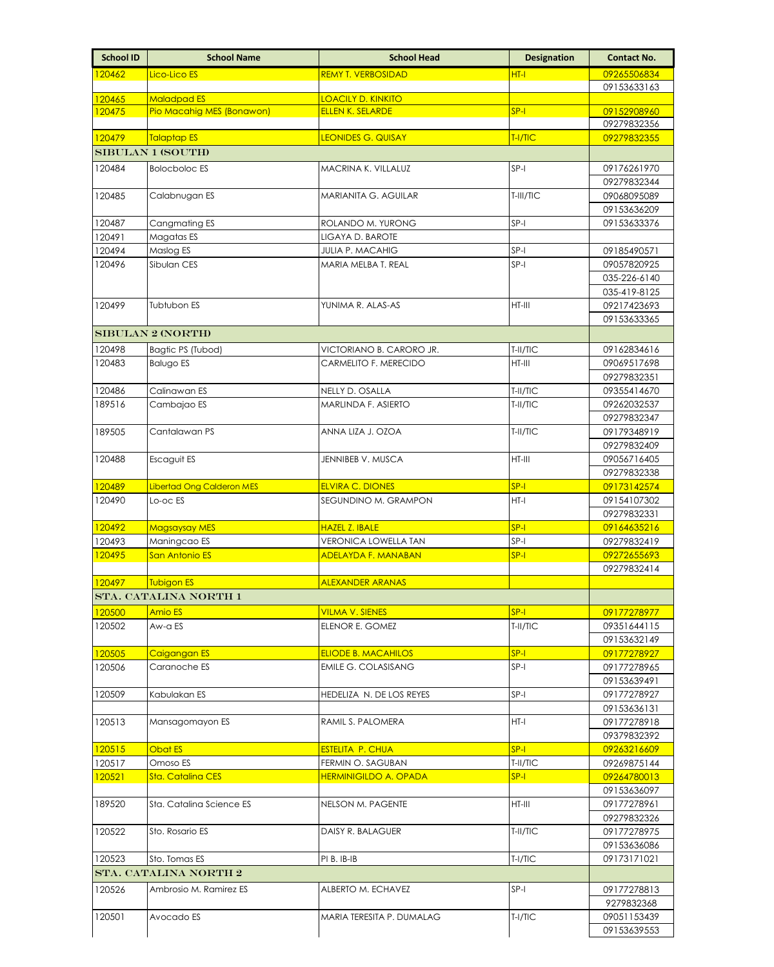| <b>School ID</b> | <b>School Name</b>        | <b>School Head</b>           | <b>Designation</b> | <b>Contact No.</b>          |
|------------------|---------------------------|------------------------------|--------------------|-----------------------------|
| 120462           | Lico-Lico ES              | <b>REMY T. VERBOSIDAD</b>    | $HT-I$             | 09265506834                 |
|                  |                           |                              |                    | 09153633163                 |
| 120465           | <b>Maladpad ES</b>        | <b>LOACILY D. KINKITO</b>    |                    |                             |
| 120475           | Pio Macahig MES (Bonawon) | <b>ELLEN K. SELARDE</b>      | $SP-I$             | 09152908960<br>09279832356  |
| 120479           | <b>Talaptap ES</b>        | <b>LEONIDES G. QUISAY</b>    | T-I/TIC            | 09279832355                 |
|                  | <b>SIBULAN 1 (SOUTH)</b>  |                              |                    |                             |
| 120484           | <b>Bolocboloc ES</b>      | MACRINA K. VILLALUZ          | $SP-I$             | 09176261970                 |
|                  |                           |                              |                    | 09279832344                 |
| 120485           | Calabnugan ES             | MARIANITA G. AGUILAR         | T-III/TIC          | 09068095089                 |
|                  |                           |                              |                    | 09153636209                 |
| 120487           | Cangmating ES             | ROLANDO M. YURONG            | $SP-I$             | 09153633376                 |
| 120491           | Magatas ES                | LIGAYA D. BAROTE             |                    |                             |
| 120494           | Maslog ES                 | <b>JULIA P. MACAHIG</b>      | SP-I               | 09185490571                 |
| 120496           | Sibulan CES               | MARIA MELBA T. REAL          | $SP-I$             | 09057820925                 |
|                  |                           |                              |                    | 035-226-6140                |
| 120499           | Tubtubon ES               | YUNIMA R. ALAS-AS            | HT-III             | 035-419-8125<br>09217423693 |
|                  |                           |                              |                    | 09153633365                 |
|                  | <b>SIBULAN 2 (NORTH)</b>  |                              |                    |                             |
| 120498           | Bagtic PS (Tubod)         | VICTORIANO B. CARORO JR.     | T-II/TIC           | 09162834616                 |
| 120483           | <b>Balugo ES</b>          | CARMELITO F. MERECIDO        | $HT-III$           | 09069517698                 |
|                  |                           |                              |                    | 09279832351                 |
| 120486           | Calinawan ES              | NELLY D. OSALLA              | T-II/TIC           | 09355414670                 |
| 189516           | Cambajao ES               | MARLINDA F. ASIERTO          | T-II/TIC           | 09262032537                 |
|                  |                           |                              |                    | 09279832347                 |
| 189505           | Cantalawan PS             | ANNA LIZA J. OZOA            | T-II/TIC           | 09179348919                 |
|                  |                           |                              |                    | 09279832409                 |
| 120488           | Escaguit ES               | JENNIBEB V. MUSCA            | HT-III             | 09056716405                 |
|                  |                           |                              |                    | 09279832338                 |
| 120489           | Libertad Ong Calderon MES | <b>ELVIRA C. DIONES</b>      | $SP-I$             | 09173142574                 |
| 120490           | Lo-oc ES                  | SEGUNDINO M. GRAMPON         | $HT-I$             | 09154107302<br>09279832331  |
| 120492           | <b>Magsaysay MES</b>      | <b>HAZEL Z. IBALE</b>        | $SP-I$             | 09164635216                 |
| 120493           | Maningcao ES              | <b>VERONICA LOWELLA TAN</b>  | $SP-I$             | 09279832419                 |
| 120495           | San Antonio ES            | <b>ADELAYDA F. MANABAN</b>   | $SP-I$             | 09272655693                 |
|                  |                           |                              |                    | 09279832414                 |
| 120497           | <b>Tubigon ES</b>         | <b>ALEXANDER ARANAS</b>      |                    |                             |
|                  | STA. CATALINA NORTH 1     |                              |                    |                             |
| 120500           | <b>Amio ES</b>            | <b>VILMA V. SIENES</b>       | $SP-I$             | 09177278977                 |
| 120502           | Aw-a ES                   | ELENOR E. GOMEZ              | T-II/TIC           | 09351644115                 |
|                  |                           |                              |                    | 09153632149                 |
| 120505           | Caigangan ES              | <b>ELIODE B. MACAHILOS</b>   | <mark>SP-I</mark>  | 09177278927                 |
| 120506           | Caranoche ES              | <b>EMILE G. COLASISANG</b>   | $SP-I$             | 09177278965                 |
|                  | Kabulakan ES              | HEDELIZA N. DE LOS REYES     | $SP-I$             | 09153639491                 |
| 120509           |                           |                              |                    | 09177278927<br>09153636131  |
| 120513           | Mansagomayon ES           | RAMIL S. PALOMERA            | HT-I               | 09177278918                 |
|                  |                           |                              |                    | 09379832392                 |
| 120515           | Obat ES                   | <b>ESTELITA P. CHUA</b>      | $SP-I$             | 09263216609                 |
| 120517           | Omoso ES                  | FERMIN O. SAGUBAN            | T-II/TIC           | 09269875144                 |
| 120521           | Sta. Catalina CES         | <b>HERMINIGILDO A. OPADA</b> | $SP-I$             | 09264780013                 |
|                  |                           |                              |                    | 09153636097                 |
| 189520           | Sta. Catalina Science ES  | NELSON M. PAGENTE            | HT-III             | 09177278961                 |
|                  |                           |                              |                    | 09279832326                 |
| 120522           | Sto. Rosario ES           | DAISY R. BALAGUER            | T-II/TIC           | 09177278975                 |
|                  |                           |                              |                    | 09153636086                 |
| 120523           | Sto. Tomas ES             | PI B. IB-IB                  | T-I/TIC            | 09173171021                 |
|                  | STA. CATALINA NORTH 2     |                              |                    |                             |
| 120526           | Ambrosio M. Ramirez ES    | ALBERTO M. ECHAVEZ           | $SP-I$             | 09177278813                 |
| 120501           | Avocado ES                | MARIA TERESITA P. DUMALAG    | T-I/TIC            | 9279832368<br>09051153439   |
|                  |                           |                              |                    | 09153639553                 |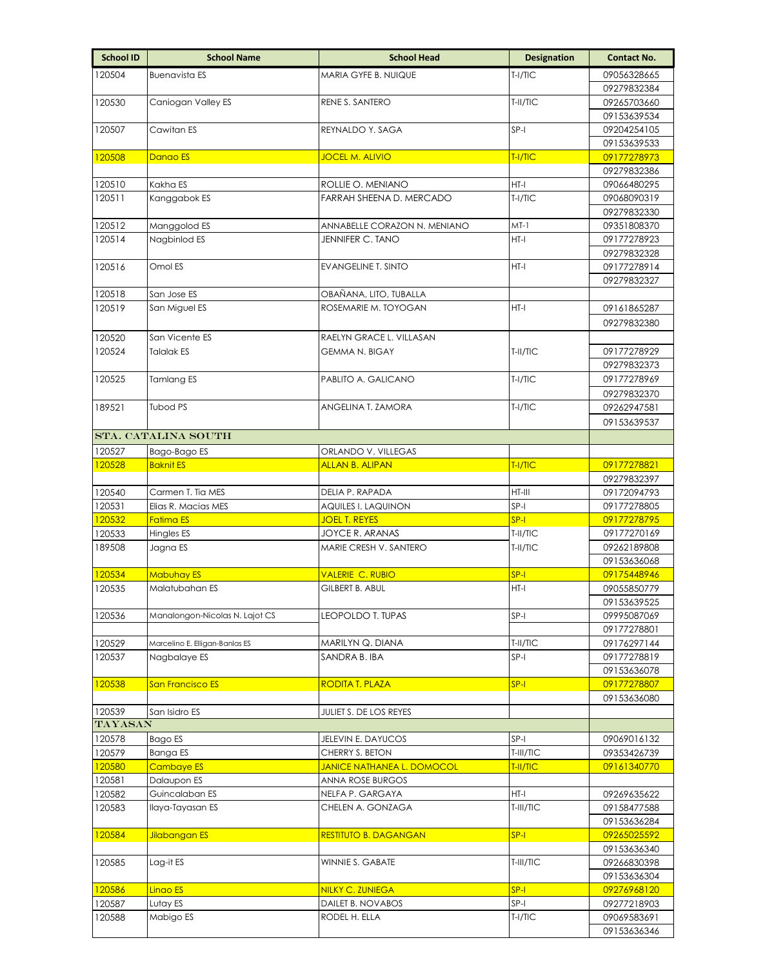| <b>School ID</b>  | <b>School Name</b>               | <b>School Head</b>                            | <b>Designation</b> | <b>Contact No.</b>         |
|-------------------|----------------------------------|-----------------------------------------------|--------------------|----------------------------|
| 120504            | <b>Buenavista ES</b>             | MARIA GYFE B. NUIQUE                          | $T-I/TC$           | 09056328665                |
|                   |                                  |                                               |                    | 09279832384                |
| 120530            | Caniogan Valley ES               | RENE S. SANTERO                               | T-II/TIC           | 09265703660                |
|                   |                                  |                                               |                    | 09153639534                |
| 120507            | Cawitan ES                       | REYNALDO Y. SAGA                              | $SP-I$             | 09204254105                |
|                   |                                  |                                               |                    | 09153639533                |
| 120508            | Danao ES                         | <b>JOCEL M. ALIVIO</b>                        | T-I/TIC            | 09177278973                |
|                   |                                  |                                               |                    | 09279832386                |
| 120510            | Kakha ES                         | ROLLIE O. MENIANO                             | HT-I               | 09066480295                |
| 120511            | Kanggabok ES                     | FARRAH SHEENA D. MERCADO                      | $T-I/TIC$          | 09068090319                |
|                   |                                  |                                               |                    | 09279832330                |
| 120512            | Manggolod ES                     | ANNABELLE CORAZON N. MENIANO                  | MT-1               | 09351808370                |
| 120514            | Nagbinlod ES                     | JENNIFER C. TANO                              | HT-I               | 09177278923                |
|                   | Omol ES                          |                                               | HT-I               | 09279832328                |
| 120516            |                                  | <b>EVANGELINE T. SINTO</b>                    |                    | 09177278914                |
| 120518            | San Jose ES                      | OBAÑANA, LITO, TUBALLA                        |                    | 09279832327                |
| 120519            | San Miguel ES                    | ROSEMARIE M. TOYOGAN                          | HT-I               | 09161865287                |
|                   |                                  |                                               |                    | 09279832380                |
|                   | San Vicente ES                   | RAELYN GRACE L. VILLASAN                      |                    |                            |
| 120520<br>120524  | Talalak ES                       | <b>GEMMA N. BIGAY</b>                         | T-II/TIC           |                            |
|                   |                                  |                                               |                    | 09177278929<br>09279832373 |
| 120525            | Tamlang ES                       | PABLITO A. GALICANO                           | $T-I/TIC$          | 09177278969                |
|                   |                                  |                                               |                    | 09279832370                |
| 189521            | <b>Tubod PS</b>                  | ANGELINA T. ZAMORA                            | $T-I/TIC$          | 09262947581                |
|                   |                                  |                                               |                    | 09153639537                |
|                   | STA. CATALINA SOUTH              |                                               |                    |                            |
|                   |                                  |                                               |                    |                            |
| 120527<br>120528  | Bago-Bago ES<br><b>Baknit ES</b> | ORLANDO V. VILLEGAS<br><b>ALLAN B. ALIPAN</b> | T-I/TIC            | 09177278821                |
|                   |                                  |                                               |                    | 09279832397                |
| 120540            | Carmen T. Tia MES                | DELIA P. RAPADA                               | HT-III             | 09172094793                |
| 120531            | Elias R. Macias MES              | AQUILES I. LAQUINON                           | SP-I               | 09177278805                |
| 120532            | <b>Fatima ES</b>                 | <b>JOEL T. REYES</b>                          | $SP-I$             | 09177278795                |
| 120533            | Hingles ES                       | JOYCE R. ARANAS                               | T-II/TIC           | 09177270169                |
| 189508            | Jagna ES                         | MARIE CRESH V. SANTERO                        | T-II/TIC           | 09262189808                |
|                   |                                  |                                               |                    | 09153636068                |
| 120534            | <b>Mabuhay ES</b>                | VALERIE C. RUBIO                              | $SP-I$             | 09175448946                |
| 120535            | Malatubahan ES                   | GILBERT B. ABUL                               | HT-I               | 09055850779                |
|                   |                                  |                                               |                    | 09153639525                |
| 120536            | Manalongon-Nicolas N. Lajot CS   | LEOPOLDO T. TUPAS                             | SP-I               | 09995087069                |
|                   |                                  |                                               |                    | 09177278801                |
| 120529            | Marcelino E. Elligan-Banlas ES   | MARILYN Q. DIANA                              | T-II/TIC           | 09176297144                |
| 120537            | Nagbalaye ES                     | SANDRA B. IBA                                 | $SP-I$             | 09177278819                |
|                   |                                  |                                               |                    | 09153636078                |
| 120538            | San Francisco ES                 | <b>RODITA T. PLAZA</b>                        | $SP-I$             | 09177278807                |
|                   |                                  |                                               |                    | 09153636080                |
| 120539<br>TAYASAN | San Isidro ES                    | JULIET S. DE LOS REYES                        |                    |                            |
|                   |                                  |                                               | $SP-I$             |                            |
| 120578<br>120579  | Bago ES<br>Banga ES              | JELEVIN E. DAYUCOS<br>CHERRY S. BETON         | T-III/TIC          | 09069016132<br>09353426739 |
| 120580            | Cambaye ES                       | <b>JANICE NATHANEA L. DOMOCOL</b>             | T-II/TIC           | 09161340770                |
| 120581            | Dalaupon ES                      | ANNA ROSE BURGOS                              |                    |                            |
| 120582            | Guincalaban ES                   | NELFA P. GARGAYA                              | HT-I               | 09269635622                |
| 120583            | llaya-Tayasan ES                 | CHELEN A. GONZAGA                             | T-III/TIC          | 09158477588                |
|                   |                                  |                                               |                    | 09153636284                |
| 120584            | Jilabangan ES                    | <b>RESTITUTO B. DAGANGAN</b>                  | $SP-I$             | 09265025592                |
|                   |                                  |                                               |                    | 09153636340                |
| 120585            | Lag-it ES                        | WINNIE S. GABATE                              | T-III/TIC          | 09266830398                |
|                   |                                  |                                               |                    | 09153636304                |
| 120586            | Linao ES                         | <b>NILKY C. ZUNIEGA</b>                       | $SP-I$             | 09276968120                |
| 120587            | Lutay ES                         | DAILET B. NOVABOS                             | SP-I               | 09277218903                |
| 120588            | Mabigo ES                        | RODEL H. ELLA                                 | $T-I/TIC$          | 09069583691                |
|                   |                                  |                                               |                    | 09153636346                |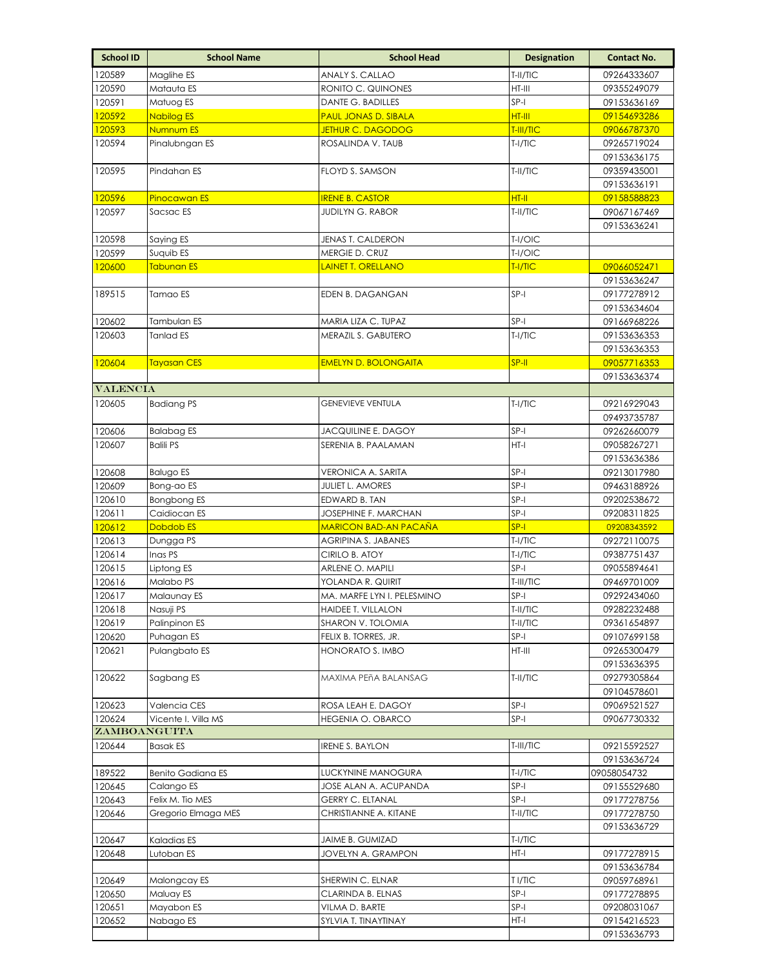| <b>School ID</b> | <b>School Name</b>       | <b>School Head</b>                              | <b>Designation</b>  | <b>Contact No.</b>         |
|------------------|--------------------------|-------------------------------------------------|---------------------|----------------------------|
| 120589           | Maglihe ES               | ANALY S. CALLAO                                 | T-II/TIC            | 09264333607                |
| 120590           | Matauta ES               | RONITO C. QUINONES                              | HT-III              | 09355249079                |
| 120591           | Matuog ES                | DANTE G. BADILLES                               | $SP-I$              | 09153636169                |
| 120592           | <b>Nabilog ES</b>        | <b>PAUL JONAS D. SIBALA</b>                     | <b>HT-III</b>       | 09154693286                |
| 120593           | Numnum ES                | JETHUR C. DAGODOG                               | T-III/TIC           | 09066787370                |
| 120594           | Pinalubngan ES           | ROSALINDA V. TAUB                               | $T-I/TIC$           | 09265719024                |
|                  |                          |                                                 |                     | 09153636175                |
| 120595           | Pindahan ES              | FLOYD S. SAMSON                                 | T-II/TIC            | 09359435001                |
|                  |                          |                                                 |                     | 09153636191                |
| 120596           | <b>Pinocawan ES</b>      | <b>IRENE B. CASTOR</b>                          | HT-II               | 09158588823                |
| 120597           | Sacsac ES                | <b>JUDILYN G. RABOR</b>                         | T-II/TIC            | 09067167469                |
| 120598           | Saying ES                | JENAS T. CALDERON                               | T-I/OIC             | 09153636241                |
| 120599           | Suquib ES                | MERGIE D. CRUZ                                  | T-I/OIC             |                            |
| 120600           | Tabunan ES               | <b>LAINET T. ORELLANO</b>                       | TI/TC               | 09066052471                |
|                  |                          |                                                 |                     | 09153636247                |
| 189515           | Tamao ES                 | EDEN B. DAGANGAN                                | $SP-I$              | 09177278912                |
|                  |                          |                                                 |                     | 09153634604                |
| 120602           | Tambulan ES              | MARIA LIZA C. TUPAZ                             | SP-I                | 09166968226                |
| 120603           | <b>Tanlad ES</b>         | MERAZIL S. GABUTERO                             | $T-I/TIC$           | 09153636353                |
|                  |                          |                                                 |                     | 09153636353                |
| 120604           | <b>Tayasan CES</b>       | <b>EMELYN D. BOLONGAITA</b>                     | SP-II               | 09057716353                |
|                  |                          |                                                 |                     | 09153636374                |
| <b>VALENCIA</b>  |                          |                                                 |                     |                            |
| 120605           | <b>Badiang PS</b>        | <b>GENEVIEVE VENTULA</b>                        | $T-1/TIC$           | 09216929043<br>09493735787 |
| 120606           | <b>Balabag ES</b>        | <b>JACQUILINE E. DAGOY</b>                      | $SP-I$              | 09262660079                |
| 120607           | <b>Balili PS</b>         | SERENIA B. PAALAMAN                             | $HT-I$              | 09058267271                |
|                  |                          |                                                 |                     | 09153636386                |
| 120608           | <b>Balugo ES</b>         | VERONICA A. SARITA                              | SP-I                | 09213017980                |
| 120609           | Bong-ao ES               | <b>JULIET L. AMORES</b>                         | SP-I                | 09463188926                |
| 120610           | Bongbong ES              | EDWARD B. TAN                                   | SP-I                | 09202538672                |
| 120611           | Caidiocan ES             | JOSEPHINE F. MARCHAN                            | $SP-I$              | 09208311825                |
| 120612           | Dobdob <sub>ES</sub>     | <b>MARICON BAD-AN PACAÑA</b>                    | $SP-I$              | 09208343592                |
| 120613           | Dungga PS                | AGRIPINA S. JABANES                             | T-I/TIC             | 09272110075                |
| 120614           | Inas PS                  | CIRILO B. ATOY                                  | $T-I/TIC$           | 09387751437                |
| 120615<br>120616 | Liptong ES               | ARLENE O. MAPILI                                | $SP-I$              | 09055894641                |
| 120617           | Malabo PS<br>Malaunay ES | YOLANDA R. QUIRIT<br>MA. MARFE LYN I. PELESMINO | T-III/TIC<br>$SP-I$ | 09469701009                |
| 120618           | Nasuji PS                | HAIDEE T. VILLALON                              | T-II/TIC            | 09292434060<br>09282232488 |
| 120619           | Palinpinon ES            | SHARON V. TOLOMIA                               | T-II/TIC            | 09361654897                |
| 120620           | Puhagan ES               | FELIX B. TORRES, JR.                            | SP-I                | 09107699158                |
| 120621           | Pulangbato ES            | HONORATO S. IMBO                                | $HT-III$            | 09265300479                |
|                  |                          |                                                 |                     | 09153636395                |
| 120622           | Sagbang ES               | MAXIMA PEñA BALANSAG                            | T-II/TIC            | 09279305864                |
|                  |                          |                                                 |                     | 09104578601                |
| 120623           | Valencia CES             | ROSA LEAH E. DAGOY                              | $SP-I$              | 09069521527                |
| 120624           | Vicente I. Villa MS      | <b>HEGENIA O. OBARCO</b>                        | $SP-I$              | 09067730332                |
| ZAMBOANGUITA     |                          |                                                 |                     |                            |
| 120644           | <b>Basak ES</b>          | <b>IRENE S. BAYLON</b>                          | T-III/TIC           | 09215592527<br>09153636724 |
| 189522           | <b>Benito Gadiana ES</b> | LUCKYNINE MANOGURA                              | $T-I/TIC$           | 09058054732                |
| 120645           | Calango ES               | JOSE ALAN A. ACUPANDA                           | $SP-I$              | 09155529680                |
| 120643           | Felix M. Tio MES         | GERRY C. ELTANAL                                | SP-I                | 09177278756                |
| 120646           | Gregorio Elmaga MES      | CHRISTIANNE A. KITANE                           | T-II/TIC            | 09177278750                |
|                  |                          |                                                 |                     | 09153636729                |
| 120647           | Kaladias ES              | JAIME B. GUMIZAD                                | T-I/TIC             |                            |
| 120648           | Lutoban ES               | JOVELYN A. GRAMPON                              | HT-I                | 09177278915                |
|                  |                          |                                                 |                     | 09153636784                |
| 120649           | Malongcay ES             | SHERWIN C. ELNAR                                | T I/TIC             | 09059768961                |
| 120650<br>120651 | Maluay ES<br>Mayabon ES  | CLARINDA B. ELNAS<br>VILMA D. BARTE             | SP-I<br>$SP-I$      | 09177278895                |
| 120652           | Nabago ES                | SYLVIA T. TINAYTINAY                            | HT-I                | 09208031067<br>09154216523 |
|                  |                          |                                                 |                     | 09153636793                |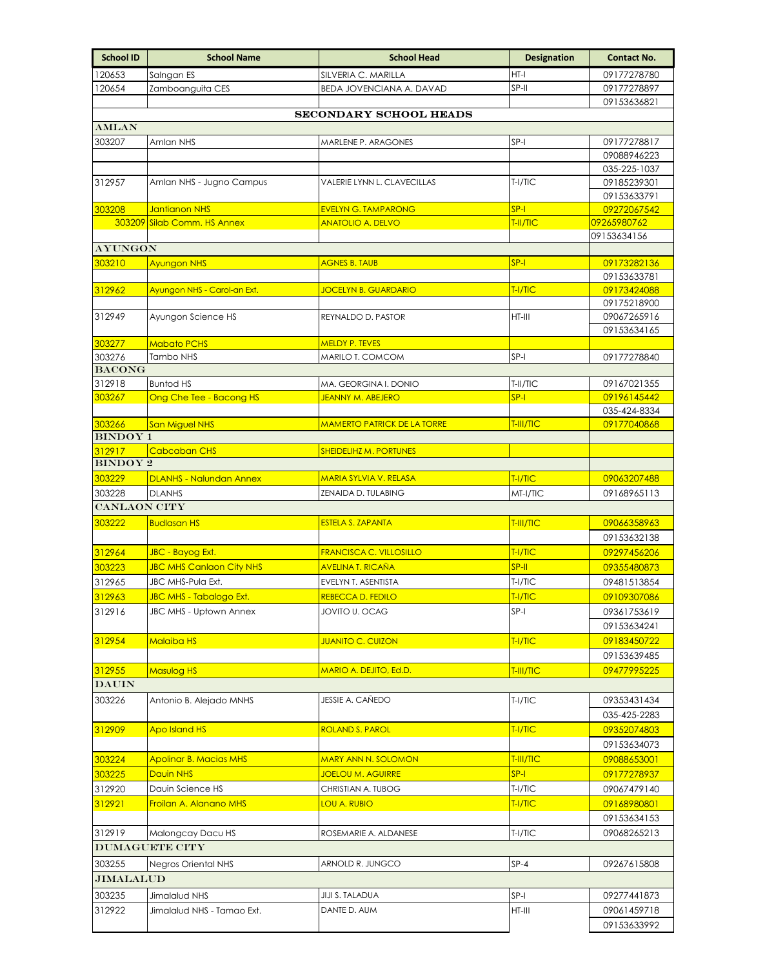| <b>School ID</b>    | <b>School Name</b>                                   | <b>School Head</b>                                     | <b>Designation</b> | <b>Contact No.</b>          |
|---------------------|------------------------------------------------------|--------------------------------------------------------|--------------------|-----------------------------|
| 120653              | Salngan ES                                           | SILVERIA C. MARILLA                                    | $HT-I$             | 09177278780                 |
| 120654              | Zamboanguita CES                                     | BEDA JOVENCIANA A. DAVAD                               | SP-II              | 09177278897                 |
|                     |                                                      |                                                        |                    | 09153636821                 |
| AMLAN               |                                                      | SECONDARY SCHOOL HEADS                                 |                    |                             |
| 303207              | Amlan NHS                                            | MARLENE P. ARAGONES                                    | SP-I               | 09177278817                 |
|                     |                                                      |                                                        |                    | 09088946223                 |
|                     |                                                      |                                                        |                    | 035-225-1037                |
| 312957              | Amlan NHS - Jugno Campus                             | VALERIE LYNN L. CLAVECILLAS                            | $T-I/TIC$          | 09185239301                 |
|                     |                                                      |                                                        |                    | 09153633791                 |
| 303208              | <b>Jantianon NHS</b><br>303209 Silab Comm. HS Annex  | <b>EVELYN G. TAMPARONG</b><br><b>ANATOLIO A. DELVO</b> | $SP-I$<br>T-II/TIC | 09272067542<br>09265980762  |
|                     |                                                      |                                                        |                    | 09153634156                 |
| <b>AYUNGON</b>      |                                                      |                                                        |                    |                             |
| 303210              | <b>Ayungon NHS</b>                                   | <b>AGNES B. TAUB</b>                                   | $SP-I$             | 09173282136                 |
|                     |                                                      |                                                        |                    | 09153633781                 |
| 312962              | Ayungon NHS - Carol-an Ext.                          | <b>JOCELYN B. GUARDARIO</b>                            | T-I/TIC            | 09173424088                 |
|                     |                                                      |                                                        | $HT-III$           | 09175218900                 |
| 312949              | Ayungon Science HS                                   | REYNALDO D. PASTOR                                     |                    | 09067265916<br>09153634165  |
| 303277              | <b>Mabato PCHS</b>                                   | <b>MELDY P. TEVES</b>                                  |                    |                             |
| 303276              | Tambo NHS                                            | MARILO T. COMCOM                                       | SP-I               | 09177278840                 |
| <b>BACONG</b>       |                                                      |                                                        |                    |                             |
| 312918              | <b>Buntod HS</b>                                     | MA. GEORGINA I. DONIO                                  | T-II/TIC           | 09167021355                 |
| 303267              | Ong Che Tee - Bacong HS                              | JEANNY M. ABEJERO                                      | $SP-I$             | 09196145442                 |
| 303266              | <b>San Miguel NHS</b>                                | <b>MAMERTO PATRICK DE LA TORRE</b>                     | T-III/TIC          | 035-424-8334<br>09177040868 |
| <b>BINDOY 1</b>     |                                                      |                                                        |                    |                             |
| 312917              | <b>Cabcaban CHS</b>                                  | SHEIDELIHZ M. PORTUNES                                 |                    |                             |
| <b>BINDOY 2</b>     |                                                      |                                                        |                    |                             |
| 303229              | <b>DLANHS - Nalundan Annex</b>                       | <b>MARIA SYLVIA V. RELASA</b>                          | TI/TC              | 09063207488                 |
| 303228              | <b>DLANHS</b>                                        | ZENAIDA D. TULABING                                    | MT-I/TIC           | 09168965113                 |
| <b>CANLAON CITY</b> |                                                      |                                                        |                    |                             |
| 303222              | <b>Budlasan HS</b>                                   | <b>ESTELA S. ZAPANTA</b>                               | T-III/TIC          | 09066358963                 |
|                     |                                                      |                                                        |                    | 09153632138                 |
| 312964              | JBC - Bayog Ext.                                     | <b>FRANCISCA C. VILLOSILLO</b>                         | T-I/TIC            | 09297456206                 |
| 303223<br>312965    | <b>JBC MHS Canlaon City NHS</b><br>JBC MHS-Pula Ext. | <b>AVELINA T. RICAÑA</b><br>EVELYN T. ASENTISTA        | SP-II<br>$T-I/TIC$ | 09355480873<br>09481513854  |
| 312963              | <b>JBC MHS - Tabalogo Ext.</b>                       | <b>REBECCA D. FEDILO</b>                               | T-I/TIC            | 09109307086                 |
| 312916              | JBC MHS - Uptown Annex                               | JOVITO U. OCAG                                         | SP-I               | 09361753619                 |
|                     |                                                      |                                                        |                    | 09153634241                 |
| 312954              | <b>Malaiba HS</b>                                    | <b>JUANITO C. CUIZON</b>                               | T-I/TIC            | 09183450722                 |
|                     |                                                      |                                                        |                    | 09153639485                 |
| 312955              | Masulog HS                                           | MARIO A. DEJITO, Ed.D.                                 | T-III/TIC          | 09477995225                 |
| <b>DAUIN</b>        |                                                      |                                                        |                    |                             |
| 303226              | Antonio B. Alejado MNHS                              | JESSIE A. CAÑEDO                                       | $T-I/TIC$          | 09353431434                 |
|                     |                                                      |                                                        |                    | 035-425-2283                |
| 312909              | <b>Apo Island HS</b>                                 | <b>ROLAND S. PAROL</b>                                 | T-I/TIC            | 09352074803                 |
|                     |                                                      |                                                        |                    | 09153634073                 |
| 303224              | <b>Apolinar B. Macias MHS</b>                        | <b>MARY ANN N. SOLOMON</b>                             | T-III/TIC          | 09088653001                 |
| 303225              | <b>Dauin NHS</b>                                     | <b>JOELOU M. AGUIRRE</b>                               | $SP-I$             | 09177278937                 |
| 312920              | Dauin Science HS                                     | CHRISTIAN A. TUBOG                                     | $T-I/TIC$          | 09067479140                 |
| 312921              | Froilan A. Alanano MHS                               | <b>LOU A. RUBIO</b>                                    | T-I/TIC            | 09168980801                 |
|                     |                                                      |                                                        |                    | 09153634153                 |
| 312919              | Malongcay Dacu HS                                    | ROSEMARIE A. ALDANESE                                  | $T-I/TIC$          | 09068265213                 |
|                     | <b>DUMAGUETE CITY</b>                                |                                                        |                    |                             |
| 303255<br>JIMALALUD | Negros Oriental NHS                                  | ARNOLD R. JUNGCO                                       | $SP-4$             | 09267615808                 |
|                     |                                                      |                                                        |                    |                             |
| 303235              | Jimalalud NHS                                        | JIJI S. TALADUA                                        | SP-I               | 09277441873                 |
| 312922              | Jimalalud NHS - Tamao Ext.                           | DANTE D. AUM                                           | HT-III             | 09061459718                 |
|                     |                                                      |                                                        |                    | 09153633992                 |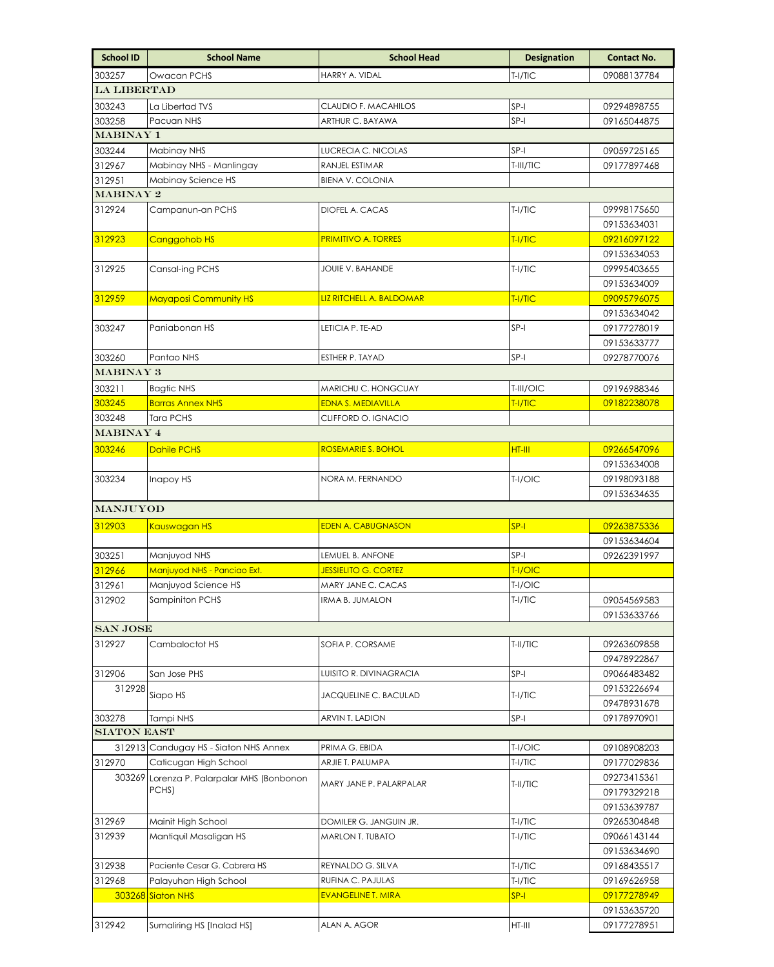| $T-I/TIC$<br>303257<br>Owacan PCHS<br>HARRY A. VIDAL<br>09088137784<br><b>LA LIBERTAD</b><br>303243<br>La Libertad TVS<br>CLAUDIO F. MACAHILOS<br>SP-I<br>09294898755<br>Pacuan NHS<br>ARTHUR C. BAYAWA<br>SP-I<br>303258<br>09165044875<br>MABINAY 1<br>303244<br>LUCRECIA C. NICOLAS<br>$SP-I$<br>09059725165<br>Mabinay NHS<br>312967<br>Mabinay NHS - Manlingay<br>RANJEL ESTIMAR<br>T-III/TIC<br>09177897468<br>312951<br>Mabinay Science HS<br><b>BIENA V. COLONIA</b><br>MABINAY 2<br>T-I/TIC<br>312924<br>Campanun-an PCHS<br>DIOFEL A. CACAS<br>09998175650<br>09153634031<br>312923<br>Canggohob HS<br><b>PRIMITIVO A. TORRES</b><br>$T-1/TIC$<br>09216097122<br>09153634053<br>$T-I/TIC$<br>09995403655<br>312925<br>Cansal-ing PCHS<br>JOUIE V. BAHANDE<br>09153634009<br>312959<br><b>Mayaposi Community HS</b><br>LIZ RITCHELL A. BALDOMAR<br>T-I/TIC<br>09095796075<br>09153634042<br>$SP-I$<br>303247<br>Panjabonan HS<br>LETICIA P. TE-AD<br>09177278019<br>09153633777<br>303260<br>Pantao NHS<br>$SP-I$<br>09278770076<br>ESTHER P. TAYAD<br>MABINAY 3<br>303211<br>MARICHU C. HONGCUAY<br>09196988346<br><b>Bagtic NHS</b><br>T-III/OIC<br>303245<br><b>Barras Annex NHS</b><br><b>EDNA S. MEDIAVILLA</b><br>T-I/TIC<br>09182238078<br><b>Tara PCHS</b><br>303248<br>CLIFFORD O. IGNACIO<br>MABINAY 4<br>303246<br>ROSEMARIE S. BOHOL<br><b>Dahile PCHS</b><br>HT-III<br>09266547096<br>09153634008<br>303234<br>NORA M. FERNANDO<br>T-I/OIC<br>09198093188<br>Inapoy HS<br>09153634635<br><b>MANJUYOD</b><br>312903<br>Kauswagan HS<br><b>EDEN A. CABUGNASON</b><br>$SP-I$<br>09263875336<br>09153634604<br>303251<br>$SP-I$<br>Manjuyod NHS<br>LEMUEL B. ANFONE<br>09262391997<br>Manjuyod NHS - Panciao Ext.<br>312966<br><b>JESSIELITO G. CORTEZ</b><br>T-I/OIC<br>312961<br>T-I/OIC<br>Manjuyod Science HS<br>MARY JANE C. CACAS<br>312902<br>Sampiniton PCHS<br><b>IRMA B. JUMALON</b><br>09054569583<br>T-I/TIC<br>09153633766<br><b>SAN JOSE</b><br>312927<br>SOFIA P. CORSAME<br>T-II/TIC<br>09263609858<br>Cambaloctot HS<br>09478922867<br>San Jose PHS<br>SP-I<br>312906<br>LUISITO R. DIVINAGRACIA<br>09066483482<br>312928<br>09153226694<br>Siapo HS<br>$T-I/TIC$<br>JACQUELINE C. BACULAD<br>09478931678<br>SP-I<br>303278<br>Tampi NHS<br>ARVIN T. LADION<br>09178970901<br><b>SIATON EAST</b><br>312913 Candugay HS - Siaton NHS Annex<br>T-I/OIC<br>PRIMA G. EBIDA<br>09108908203<br>312970<br>Caticugan High School<br>$T-1/TIC$<br>ARJIE T. PALUMPA<br>09177029836<br>303269 Lorenza P. Palarpalar MHS (Bonbonon<br>09273415361<br>MARY JANE P. PALARPALAR<br>T-II/TIC<br>PCHS)<br>09179329218<br>09153639787<br>312969<br>Mainit High School<br>DOMILER G. JANGUIN JR.<br>$T-I/TIC$<br>09265304848<br>312939<br>Mantiquil Masaligan HS<br>T-I/TIC<br><b>MARLON T. TUBATO</b><br>09066143144<br>09153634690<br>312938<br>Paciente Cesar G. Cabrera HS<br>$T-I/TIC$<br>REYNALDO G. SILVA<br>09168435517<br>312968<br>$T-I/TIC$<br>Palayuhan High School<br>RUFINA C. PAJULAS<br>09169626958<br>$SP-I$<br>09177278949<br>303268 Siaton NHS<br><b>EVANGELINE T. MIRA</b><br>09153635720<br>312942<br>Sumaliring HS [Inalad HS]<br>HT-III<br>ALAN A. AGOR<br>09177278951 | <b>School ID</b> | <b>School Name</b> | <b>School Head</b> | <b>Designation</b> | <b>Contact No.</b> |
|---------------------------------------------------------------------------------------------------------------------------------------------------------------------------------------------------------------------------------------------------------------------------------------------------------------------------------------------------------------------------------------------------------------------------------------------------------------------------------------------------------------------------------------------------------------------------------------------------------------------------------------------------------------------------------------------------------------------------------------------------------------------------------------------------------------------------------------------------------------------------------------------------------------------------------------------------------------------------------------------------------------------------------------------------------------------------------------------------------------------------------------------------------------------------------------------------------------------------------------------------------------------------------------------------------------------------------------------------------------------------------------------------------------------------------------------------------------------------------------------------------------------------------------------------------------------------------------------------------------------------------------------------------------------------------------------------------------------------------------------------------------------------------------------------------------------------------------------------------------------------------------------------------------------------------------------------------------------------------------------------------------------------------------------------------------------------------------------------------------------------------------------------------------------------------------------------------------------------------------------------------------------------------------------------------------------------------------------------------------------------------------------------------------------------------------------------------------------------------------------------------------------------------------------------------------------------------------------------------------------------------------------------------------------------------------------------------------------------------------------------------------------------------------------------------------------------------------------------------------------------------------------------------------------------------------------------------------------------------------------------------------------------------------------------------------------------------------------------------------------------------------------------------------------------------------------------------------|------------------|--------------------|--------------------|--------------------|--------------------|
|                                                                                                                                                                                                                                                                                                                                                                                                                                                                                                                                                                                                                                                                                                                                                                                                                                                                                                                                                                                                                                                                                                                                                                                                                                                                                                                                                                                                                                                                                                                                                                                                                                                                                                                                                                                                                                                                                                                                                                                                                                                                                                                                                                                                                                                                                                                                                                                                                                                                                                                                                                                                                                                                                                                                                                                                                                                                                                                                                                                                                                                                                                                                                                                                               |                  |                    |                    |                    |                    |
|                                                                                                                                                                                                                                                                                                                                                                                                                                                                                                                                                                                                                                                                                                                                                                                                                                                                                                                                                                                                                                                                                                                                                                                                                                                                                                                                                                                                                                                                                                                                                                                                                                                                                                                                                                                                                                                                                                                                                                                                                                                                                                                                                                                                                                                                                                                                                                                                                                                                                                                                                                                                                                                                                                                                                                                                                                                                                                                                                                                                                                                                                                                                                                                                               |                  |                    |                    |                    |                    |
|                                                                                                                                                                                                                                                                                                                                                                                                                                                                                                                                                                                                                                                                                                                                                                                                                                                                                                                                                                                                                                                                                                                                                                                                                                                                                                                                                                                                                                                                                                                                                                                                                                                                                                                                                                                                                                                                                                                                                                                                                                                                                                                                                                                                                                                                                                                                                                                                                                                                                                                                                                                                                                                                                                                                                                                                                                                                                                                                                                                                                                                                                                                                                                                                               |                  |                    |                    |                    |                    |
|                                                                                                                                                                                                                                                                                                                                                                                                                                                                                                                                                                                                                                                                                                                                                                                                                                                                                                                                                                                                                                                                                                                                                                                                                                                                                                                                                                                                                                                                                                                                                                                                                                                                                                                                                                                                                                                                                                                                                                                                                                                                                                                                                                                                                                                                                                                                                                                                                                                                                                                                                                                                                                                                                                                                                                                                                                                                                                                                                                                                                                                                                                                                                                                                               |                  |                    |                    |                    |                    |
|                                                                                                                                                                                                                                                                                                                                                                                                                                                                                                                                                                                                                                                                                                                                                                                                                                                                                                                                                                                                                                                                                                                                                                                                                                                                                                                                                                                                                                                                                                                                                                                                                                                                                                                                                                                                                                                                                                                                                                                                                                                                                                                                                                                                                                                                                                                                                                                                                                                                                                                                                                                                                                                                                                                                                                                                                                                                                                                                                                                                                                                                                                                                                                                                               |                  |                    |                    |                    |                    |
|                                                                                                                                                                                                                                                                                                                                                                                                                                                                                                                                                                                                                                                                                                                                                                                                                                                                                                                                                                                                                                                                                                                                                                                                                                                                                                                                                                                                                                                                                                                                                                                                                                                                                                                                                                                                                                                                                                                                                                                                                                                                                                                                                                                                                                                                                                                                                                                                                                                                                                                                                                                                                                                                                                                                                                                                                                                                                                                                                                                                                                                                                                                                                                                                               |                  |                    |                    |                    |                    |
|                                                                                                                                                                                                                                                                                                                                                                                                                                                                                                                                                                                                                                                                                                                                                                                                                                                                                                                                                                                                                                                                                                                                                                                                                                                                                                                                                                                                                                                                                                                                                                                                                                                                                                                                                                                                                                                                                                                                                                                                                                                                                                                                                                                                                                                                                                                                                                                                                                                                                                                                                                                                                                                                                                                                                                                                                                                                                                                                                                                                                                                                                                                                                                                                               |                  |                    |                    |                    |                    |
|                                                                                                                                                                                                                                                                                                                                                                                                                                                                                                                                                                                                                                                                                                                                                                                                                                                                                                                                                                                                                                                                                                                                                                                                                                                                                                                                                                                                                                                                                                                                                                                                                                                                                                                                                                                                                                                                                                                                                                                                                                                                                                                                                                                                                                                                                                                                                                                                                                                                                                                                                                                                                                                                                                                                                                                                                                                                                                                                                                                                                                                                                                                                                                                                               |                  |                    |                    |                    |                    |
|                                                                                                                                                                                                                                                                                                                                                                                                                                                                                                                                                                                                                                                                                                                                                                                                                                                                                                                                                                                                                                                                                                                                                                                                                                                                                                                                                                                                                                                                                                                                                                                                                                                                                                                                                                                                                                                                                                                                                                                                                                                                                                                                                                                                                                                                                                                                                                                                                                                                                                                                                                                                                                                                                                                                                                                                                                                                                                                                                                                                                                                                                                                                                                                                               |                  |                    |                    |                    |                    |
|                                                                                                                                                                                                                                                                                                                                                                                                                                                                                                                                                                                                                                                                                                                                                                                                                                                                                                                                                                                                                                                                                                                                                                                                                                                                                                                                                                                                                                                                                                                                                                                                                                                                                                                                                                                                                                                                                                                                                                                                                                                                                                                                                                                                                                                                                                                                                                                                                                                                                                                                                                                                                                                                                                                                                                                                                                                                                                                                                                                                                                                                                                                                                                                                               |                  |                    |                    |                    |                    |
|                                                                                                                                                                                                                                                                                                                                                                                                                                                                                                                                                                                                                                                                                                                                                                                                                                                                                                                                                                                                                                                                                                                                                                                                                                                                                                                                                                                                                                                                                                                                                                                                                                                                                                                                                                                                                                                                                                                                                                                                                                                                                                                                                                                                                                                                                                                                                                                                                                                                                                                                                                                                                                                                                                                                                                                                                                                                                                                                                                                                                                                                                                                                                                                                               |                  |                    |                    |                    |                    |
|                                                                                                                                                                                                                                                                                                                                                                                                                                                                                                                                                                                                                                                                                                                                                                                                                                                                                                                                                                                                                                                                                                                                                                                                                                                                                                                                                                                                                                                                                                                                                                                                                                                                                                                                                                                                                                                                                                                                                                                                                                                                                                                                                                                                                                                                                                                                                                                                                                                                                                                                                                                                                                                                                                                                                                                                                                                                                                                                                                                                                                                                                                                                                                                                               |                  |                    |                    |                    |                    |
|                                                                                                                                                                                                                                                                                                                                                                                                                                                                                                                                                                                                                                                                                                                                                                                                                                                                                                                                                                                                                                                                                                                                                                                                                                                                                                                                                                                                                                                                                                                                                                                                                                                                                                                                                                                                                                                                                                                                                                                                                                                                                                                                                                                                                                                                                                                                                                                                                                                                                                                                                                                                                                                                                                                                                                                                                                                                                                                                                                                                                                                                                                                                                                                                               |                  |                    |                    |                    |                    |
|                                                                                                                                                                                                                                                                                                                                                                                                                                                                                                                                                                                                                                                                                                                                                                                                                                                                                                                                                                                                                                                                                                                                                                                                                                                                                                                                                                                                                                                                                                                                                                                                                                                                                                                                                                                                                                                                                                                                                                                                                                                                                                                                                                                                                                                                                                                                                                                                                                                                                                                                                                                                                                                                                                                                                                                                                                                                                                                                                                                                                                                                                                                                                                                                               |                  |                    |                    |                    |                    |
|                                                                                                                                                                                                                                                                                                                                                                                                                                                                                                                                                                                                                                                                                                                                                                                                                                                                                                                                                                                                                                                                                                                                                                                                                                                                                                                                                                                                                                                                                                                                                                                                                                                                                                                                                                                                                                                                                                                                                                                                                                                                                                                                                                                                                                                                                                                                                                                                                                                                                                                                                                                                                                                                                                                                                                                                                                                                                                                                                                                                                                                                                                                                                                                                               |                  |                    |                    |                    |                    |
|                                                                                                                                                                                                                                                                                                                                                                                                                                                                                                                                                                                                                                                                                                                                                                                                                                                                                                                                                                                                                                                                                                                                                                                                                                                                                                                                                                                                                                                                                                                                                                                                                                                                                                                                                                                                                                                                                                                                                                                                                                                                                                                                                                                                                                                                                                                                                                                                                                                                                                                                                                                                                                                                                                                                                                                                                                                                                                                                                                                                                                                                                                                                                                                                               |                  |                    |                    |                    |                    |
|                                                                                                                                                                                                                                                                                                                                                                                                                                                                                                                                                                                                                                                                                                                                                                                                                                                                                                                                                                                                                                                                                                                                                                                                                                                                                                                                                                                                                                                                                                                                                                                                                                                                                                                                                                                                                                                                                                                                                                                                                                                                                                                                                                                                                                                                                                                                                                                                                                                                                                                                                                                                                                                                                                                                                                                                                                                                                                                                                                                                                                                                                                                                                                                                               |                  |                    |                    |                    |                    |
|                                                                                                                                                                                                                                                                                                                                                                                                                                                                                                                                                                                                                                                                                                                                                                                                                                                                                                                                                                                                                                                                                                                                                                                                                                                                                                                                                                                                                                                                                                                                                                                                                                                                                                                                                                                                                                                                                                                                                                                                                                                                                                                                                                                                                                                                                                                                                                                                                                                                                                                                                                                                                                                                                                                                                                                                                                                                                                                                                                                                                                                                                                                                                                                                               |                  |                    |                    |                    |                    |
|                                                                                                                                                                                                                                                                                                                                                                                                                                                                                                                                                                                                                                                                                                                                                                                                                                                                                                                                                                                                                                                                                                                                                                                                                                                                                                                                                                                                                                                                                                                                                                                                                                                                                                                                                                                                                                                                                                                                                                                                                                                                                                                                                                                                                                                                                                                                                                                                                                                                                                                                                                                                                                                                                                                                                                                                                                                                                                                                                                                                                                                                                                                                                                                                               |                  |                    |                    |                    |                    |
|                                                                                                                                                                                                                                                                                                                                                                                                                                                                                                                                                                                                                                                                                                                                                                                                                                                                                                                                                                                                                                                                                                                                                                                                                                                                                                                                                                                                                                                                                                                                                                                                                                                                                                                                                                                                                                                                                                                                                                                                                                                                                                                                                                                                                                                                                                                                                                                                                                                                                                                                                                                                                                                                                                                                                                                                                                                                                                                                                                                                                                                                                                                                                                                                               |                  |                    |                    |                    |                    |
|                                                                                                                                                                                                                                                                                                                                                                                                                                                                                                                                                                                                                                                                                                                                                                                                                                                                                                                                                                                                                                                                                                                                                                                                                                                                                                                                                                                                                                                                                                                                                                                                                                                                                                                                                                                                                                                                                                                                                                                                                                                                                                                                                                                                                                                                                                                                                                                                                                                                                                                                                                                                                                                                                                                                                                                                                                                                                                                                                                                                                                                                                                                                                                                                               |                  |                    |                    |                    |                    |
|                                                                                                                                                                                                                                                                                                                                                                                                                                                                                                                                                                                                                                                                                                                                                                                                                                                                                                                                                                                                                                                                                                                                                                                                                                                                                                                                                                                                                                                                                                                                                                                                                                                                                                                                                                                                                                                                                                                                                                                                                                                                                                                                                                                                                                                                                                                                                                                                                                                                                                                                                                                                                                                                                                                                                                                                                                                                                                                                                                                                                                                                                                                                                                                                               |                  |                    |                    |                    |                    |
|                                                                                                                                                                                                                                                                                                                                                                                                                                                                                                                                                                                                                                                                                                                                                                                                                                                                                                                                                                                                                                                                                                                                                                                                                                                                                                                                                                                                                                                                                                                                                                                                                                                                                                                                                                                                                                                                                                                                                                                                                                                                                                                                                                                                                                                                                                                                                                                                                                                                                                                                                                                                                                                                                                                                                                                                                                                                                                                                                                                                                                                                                                                                                                                                               |                  |                    |                    |                    |                    |
|                                                                                                                                                                                                                                                                                                                                                                                                                                                                                                                                                                                                                                                                                                                                                                                                                                                                                                                                                                                                                                                                                                                                                                                                                                                                                                                                                                                                                                                                                                                                                                                                                                                                                                                                                                                                                                                                                                                                                                                                                                                                                                                                                                                                                                                                                                                                                                                                                                                                                                                                                                                                                                                                                                                                                                                                                                                                                                                                                                                                                                                                                                                                                                                                               |                  |                    |                    |                    |                    |
|                                                                                                                                                                                                                                                                                                                                                                                                                                                                                                                                                                                                                                                                                                                                                                                                                                                                                                                                                                                                                                                                                                                                                                                                                                                                                                                                                                                                                                                                                                                                                                                                                                                                                                                                                                                                                                                                                                                                                                                                                                                                                                                                                                                                                                                                                                                                                                                                                                                                                                                                                                                                                                                                                                                                                                                                                                                                                                                                                                                                                                                                                                                                                                                                               |                  |                    |                    |                    |                    |
|                                                                                                                                                                                                                                                                                                                                                                                                                                                                                                                                                                                                                                                                                                                                                                                                                                                                                                                                                                                                                                                                                                                                                                                                                                                                                                                                                                                                                                                                                                                                                                                                                                                                                                                                                                                                                                                                                                                                                                                                                                                                                                                                                                                                                                                                                                                                                                                                                                                                                                                                                                                                                                                                                                                                                                                                                                                                                                                                                                                                                                                                                                                                                                                                               |                  |                    |                    |                    |                    |
|                                                                                                                                                                                                                                                                                                                                                                                                                                                                                                                                                                                                                                                                                                                                                                                                                                                                                                                                                                                                                                                                                                                                                                                                                                                                                                                                                                                                                                                                                                                                                                                                                                                                                                                                                                                                                                                                                                                                                                                                                                                                                                                                                                                                                                                                                                                                                                                                                                                                                                                                                                                                                                                                                                                                                                                                                                                                                                                                                                                                                                                                                                                                                                                                               |                  |                    |                    |                    |                    |
|                                                                                                                                                                                                                                                                                                                                                                                                                                                                                                                                                                                                                                                                                                                                                                                                                                                                                                                                                                                                                                                                                                                                                                                                                                                                                                                                                                                                                                                                                                                                                                                                                                                                                                                                                                                                                                                                                                                                                                                                                                                                                                                                                                                                                                                                                                                                                                                                                                                                                                                                                                                                                                                                                                                                                                                                                                                                                                                                                                                                                                                                                                                                                                                                               |                  |                    |                    |                    |                    |
|                                                                                                                                                                                                                                                                                                                                                                                                                                                                                                                                                                                                                                                                                                                                                                                                                                                                                                                                                                                                                                                                                                                                                                                                                                                                                                                                                                                                                                                                                                                                                                                                                                                                                                                                                                                                                                                                                                                                                                                                                                                                                                                                                                                                                                                                                                                                                                                                                                                                                                                                                                                                                                                                                                                                                                                                                                                                                                                                                                                                                                                                                                                                                                                                               |                  |                    |                    |                    |                    |
|                                                                                                                                                                                                                                                                                                                                                                                                                                                                                                                                                                                                                                                                                                                                                                                                                                                                                                                                                                                                                                                                                                                                                                                                                                                                                                                                                                                                                                                                                                                                                                                                                                                                                                                                                                                                                                                                                                                                                                                                                                                                                                                                                                                                                                                                                                                                                                                                                                                                                                                                                                                                                                                                                                                                                                                                                                                                                                                                                                                                                                                                                                                                                                                                               |                  |                    |                    |                    |                    |
|                                                                                                                                                                                                                                                                                                                                                                                                                                                                                                                                                                                                                                                                                                                                                                                                                                                                                                                                                                                                                                                                                                                                                                                                                                                                                                                                                                                                                                                                                                                                                                                                                                                                                                                                                                                                                                                                                                                                                                                                                                                                                                                                                                                                                                                                                                                                                                                                                                                                                                                                                                                                                                                                                                                                                                                                                                                                                                                                                                                                                                                                                                                                                                                                               |                  |                    |                    |                    |                    |
|                                                                                                                                                                                                                                                                                                                                                                                                                                                                                                                                                                                                                                                                                                                                                                                                                                                                                                                                                                                                                                                                                                                                                                                                                                                                                                                                                                                                                                                                                                                                                                                                                                                                                                                                                                                                                                                                                                                                                                                                                                                                                                                                                                                                                                                                                                                                                                                                                                                                                                                                                                                                                                                                                                                                                                                                                                                                                                                                                                                                                                                                                                                                                                                                               |                  |                    |                    |                    |                    |
|                                                                                                                                                                                                                                                                                                                                                                                                                                                                                                                                                                                                                                                                                                                                                                                                                                                                                                                                                                                                                                                                                                                                                                                                                                                                                                                                                                                                                                                                                                                                                                                                                                                                                                                                                                                                                                                                                                                                                                                                                                                                                                                                                                                                                                                                                                                                                                                                                                                                                                                                                                                                                                                                                                                                                                                                                                                                                                                                                                                                                                                                                                                                                                                                               |                  |                    |                    |                    |                    |
|                                                                                                                                                                                                                                                                                                                                                                                                                                                                                                                                                                                                                                                                                                                                                                                                                                                                                                                                                                                                                                                                                                                                                                                                                                                                                                                                                                                                                                                                                                                                                                                                                                                                                                                                                                                                                                                                                                                                                                                                                                                                                                                                                                                                                                                                                                                                                                                                                                                                                                                                                                                                                                                                                                                                                                                                                                                                                                                                                                                                                                                                                                                                                                                                               |                  |                    |                    |                    |                    |
|                                                                                                                                                                                                                                                                                                                                                                                                                                                                                                                                                                                                                                                                                                                                                                                                                                                                                                                                                                                                                                                                                                                                                                                                                                                                                                                                                                                                                                                                                                                                                                                                                                                                                                                                                                                                                                                                                                                                                                                                                                                                                                                                                                                                                                                                                                                                                                                                                                                                                                                                                                                                                                                                                                                                                                                                                                                                                                                                                                                                                                                                                                                                                                                                               |                  |                    |                    |                    |                    |
|                                                                                                                                                                                                                                                                                                                                                                                                                                                                                                                                                                                                                                                                                                                                                                                                                                                                                                                                                                                                                                                                                                                                                                                                                                                                                                                                                                                                                                                                                                                                                                                                                                                                                                                                                                                                                                                                                                                                                                                                                                                                                                                                                                                                                                                                                                                                                                                                                                                                                                                                                                                                                                                                                                                                                                                                                                                                                                                                                                                                                                                                                                                                                                                                               |                  |                    |                    |                    |                    |
|                                                                                                                                                                                                                                                                                                                                                                                                                                                                                                                                                                                                                                                                                                                                                                                                                                                                                                                                                                                                                                                                                                                                                                                                                                                                                                                                                                                                                                                                                                                                                                                                                                                                                                                                                                                                                                                                                                                                                                                                                                                                                                                                                                                                                                                                                                                                                                                                                                                                                                                                                                                                                                                                                                                                                                                                                                                                                                                                                                                                                                                                                                                                                                                                               |                  |                    |                    |                    |                    |
|                                                                                                                                                                                                                                                                                                                                                                                                                                                                                                                                                                                                                                                                                                                                                                                                                                                                                                                                                                                                                                                                                                                                                                                                                                                                                                                                                                                                                                                                                                                                                                                                                                                                                                                                                                                                                                                                                                                                                                                                                                                                                                                                                                                                                                                                                                                                                                                                                                                                                                                                                                                                                                                                                                                                                                                                                                                                                                                                                                                                                                                                                                                                                                                                               |                  |                    |                    |                    |                    |
|                                                                                                                                                                                                                                                                                                                                                                                                                                                                                                                                                                                                                                                                                                                                                                                                                                                                                                                                                                                                                                                                                                                                                                                                                                                                                                                                                                                                                                                                                                                                                                                                                                                                                                                                                                                                                                                                                                                                                                                                                                                                                                                                                                                                                                                                                                                                                                                                                                                                                                                                                                                                                                                                                                                                                                                                                                                                                                                                                                                                                                                                                                                                                                                                               |                  |                    |                    |                    |                    |
|                                                                                                                                                                                                                                                                                                                                                                                                                                                                                                                                                                                                                                                                                                                                                                                                                                                                                                                                                                                                                                                                                                                                                                                                                                                                                                                                                                                                                                                                                                                                                                                                                                                                                                                                                                                                                                                                                                                                                                                                                                                                                                                                                                                                                                                                                                                                                                                                                                                                                                                                                                                                                                                                                                                                                                                                                                                                                                                                                                                                                                                                                                                                                                                                               |                  |                    |                    |                    |                    |
|                                                                                                                                                                                                                                                                                                                                                                                                                                                                                                                                                                                                                                                                                                                                                                                                                                                                                                                                                                                                                                                                                                                                                                                                                                                                                                                                                                                                                                                                                                                                                                                                                                                                                                                                                                                                                                                                                                                                                                                                                                                                                                                                                                                                                                                                                                                                                                                                                                                                                                                                                                                                                                                                                                                                                                                                                                                                                                                                                                                                                                                                                                                                                                                                               |                  |                    |                    |                    |                    |
|                                                                                                                                                                                                                                                                                                                                                                                                                                                                                                                                                                                                                                                                                                                                                                                                                                                                                                                                                                                                                                                                                                                                                                                                                                                                                                                                                                                                                                                                                                                                                                                                                                                                                                                                                                                                                                                                                                                                                                                                                                                                                                                                                                                                                                                                                                                                                                                                                                                                                                                                                                                                                                                                                                                                                                                                                                                                                                                                                                                                                                                                                                                                                                                                               |                  |                    |                    |                    |                    |
|                                                                                                                                                                                                                                                                                                                                                                                                                                                                                                                                                                                                                                                                                                                                                                                                                                                                                                                                                                                                                                                                                                                                                                                                                                                                                                                                                                                                                                                                                                                                                                                                                                                                                                                                                                                                                                                                                                                                                                                                                                                                                                                                                                                                                                                                                                                                                                                                                                                                                                                                                                                                                                                                                                                                                                                                                                                                                                                                                                                                                                                                                                                                                                                                               |                  |                    |                    |                    |                    |
|                                                                                                                                                                                                                                                                                                                                                                                                                                                                                                                                                                                                                                                                                                                                                                                                                                                                                                                                                                                                                                                                                                                                                                                                                                                                                                                                                                                                                                                                                                                                                                                                                                                                                                                                                                                                                                                                                                                                                                                                                                                                                                                                                                                                                                                                                                                                                                                                                                                                                                                                                                                                                                                                                                                                                                                                                                                                                                                                                                                                                                                                                                                                                                                                               |                  |                    |                    |                    |                    |
|                                                                                                                                                                                                                                                                                                                                                                                                                                                                                                                                                                                                                                                                                                                                                                                                                                                                                                                                                                                                                                                                                                                                                                                                                                                                                                                                                                                                                                                                                                                                                                                                                                                                                                                                                                                                                                                                                                                                                                                                                                                                                                                                                                                                                                                                                                                                                                                                                                                                                                                                                                                                                                                                                                                                                                                                                                                                                                                                                                                                                                                                                                                                                                                                               |                  |                    |                    |                    |                    |
|                                                                                                                                                                                                                                                                                                                                                                                                                                                                                                                                                                                                                                                                                                                                                                                                                                                                                                                                                                                                                                                                                                                                                                                                                                                                                                                                                                                                                                                                                                                                                                                                                                                                                                                                                                                                                                                                                                                                                                                                                                                                                                                                                                                                                                                                                                                                                                                                                                                                                                                                                                                                                                                                                                                                                                                                                                                                                                                                                                                                                                                                                                                                                                                                               |                  |                    |                    |                    |                    |
|                                                                                                                                                                                                                                                                                                                                                                                                                                                                                                                                                                                                                                                                                                                                                                                                                                                                                                                                                                                                                                                                                                                                                                                                                                                                                                                                                                                                                                                                                                                                                                                                                                                                                                                                                                                                                                                                                                                                                                                                                                                                                                                                                                                                                                                                                                                                                                                                                                                                                                                                                                                                                                                                                                                                                                                                                                                                                                                                                                                                                                                                                                                                                                                                               |                  |                    |                    |                    |                    |
|                                                                                                                                                                                                                                                                                                                                                                                                                                                                                                                                                                                                                                                                                                                                                                                                                                                                                                                                                                                                                                                                                                                                                                                                                                                                                                                                                                                                                                                                                                                                                                                                                                                                                                                                                                                                                                                                                                                                                                                                                                                                                                                                                                                                                                                                                                                                                                                                                                                                                                                                                                                                                                                                                                                                                                                                                                                                                                                                                                                                                                                                                                                                                                                                               |                  |                    |                    |                    |                    |
|                                                                                                                                                                                                                                                                                                                                                                                                                                                                                                                                                                                                                                                                                                                                                                                                                                                                                                                                                                                                                                                                                                                                                                                                                                                                                                                                                                                                                                                                                                                                                                                                                                                                                                                                                                                                                                                                                                                                                                                                                                                                                                                                                                                                                                                                                                                                                                                                                                                                                                                                                                                                                                                                                                                                                                                                                                                                                                                                                                                                                                                                                                                                                                                                               |                  |                    |                    |                    |                    |
|                                                                                                                                                                                                                                                                                                                                                                                                                                                                                                                                                                                                                                                                                                                                                                                                                                                                                                                                                                                                                                                                                                                                                                                                                                                                                                                                                                                                                                                                                                                                                                                                                                                                                                                                                                                                                                                                                                                                                                                                                                                                                                                                                                                                                                                                                                                                                                                                                                                                                                                                                                                                                                                                                                                                                                                                                                                                                                                                                                                                                                                                                                                                                                                                               |                  |                    |                    |                    |                    |
|                                                                                                                                                                                                                                                                                                                                                                                                                                                                                                                                                                                                                                                                                                                                                                                                                                                                                                                                                                                                                                                                                                                                                                                                                                                                                                                                                                                                                                                                                                                                                                                                                                                                                                                                                                                                                                                                                                                                                                                                                                                                                                                                                                                                                                                                                                                                                                                                                                                                                                                                                                                                                                                                                                                                                                                                                                                                                                                                                                                                                                                                                                                                                                                                               |                  |                    |                    |                    |                    |
|                                                                                                                                                                                                                                                                                                                                                                                                                                                                                                                                                                                                                                                                                                                                                                                                                                                                                                                                                                                                                                                                                                                                                                                                                                                                                                                                                                                                                                                                                                                                                                                                                                                                                                                                                                                                                                                                                                                                                                                                                                                                                                                                                                                                                                                                                                                                                                                                                                                                                                                                                                                                                                                                                                                                                                                                                                                                                                                                                                                                                                                                                                                                                                                                               |                  |                    |                    |                    |                    |
|                                                                                                                                                                                                                                                                                                                                                                                                                                                                                                                                                                                                                                                                                                                                                                                                                                                                                                                                                                                                                                                                                                                                                                                                                                                                                                                                                                                                                                                                                                                                                                                                                                                                                                                                                                                                                                                                                                                                                                                                                                                                                                                                                                                                                                                                                                                                                                                                                                                                                                                                                                                                                                                                                                                                                                                                                                                                                                                                                                                                                                                                                                                                                                                                               |                  |                    |                    |                    |                    |
|                                                                                                                                                                                                                                                                                                                                                                                                                                                                                                                                                                                                                                                                                                                                                                                                                                                                                                                                                                                                                                                                                                                                                                                                                                                                                                                                                                                                                                                                                                                                                                                                                                                                                                                                                                                                                                                                                                                                                                                                                                                                                                                                                                                                                                                                                                                                                                                                                                                                                                                                                                                                                                                                                                                                                                                                                                                                                                                                                                                                                                                                                                                                                                                                               |                  |                    |                    |                    |                    |
|                                                                                                                                                                                                                                                                                                                                                                                                                                                                                                                                                                                                                                                                                                                                                                                                                                                                                                                                                                                                                                                                                                                                                                                                                                                                                                                                                                                                                                                                                                                                                                                                                                                                                                                                                                                                                                                                                                                                                                                                                                                                                                                                                                                                                                                                                                                                                                                                                                                                                                                                                                                                                                                                                                                                                                                                                                                                                                                                                                                                                                                                                                                                                                                                               |                  |                    |                    |                    |                    |
|                                                                                                                                                                                                                                                                                                                                                                                                                                                                                                                                                                                                                                                                                                                                                                                                                                                                                                                                                                                                                                                                                                                                                                                                                                                                                                                                                                                                                                                                                                                                                                                                                                                                                                                                                                                                                                                                                                                                                                                                                                                                                                                                                                                                                                                                                                                                                                                                                                                                                                                                                                                                                                                                                                                                                                                                                                                                                                                                                                                                                                                                                                                                                                                                               |                  |                    |                    |                    |                    |
|                                                                                                                                                                                                                                                                                                                                                                                                                                                                                                                                                                                                                                                                                                                                                                                                                                                                                                                                                                                                                                                                                                                                                                                                                                                                                                                                                                                                                                                                                                                                                                                                                                                                                                                                                                                                                                                                                                                                                                                                                                                                                                                                                                                                                                                                                                                                                                                                                                                                                                                                                                                                                                                                                                                                                                                                                                                                                                                                                                                                                                                                                                                                                                                                               |                  |                    |                    |                    |                    |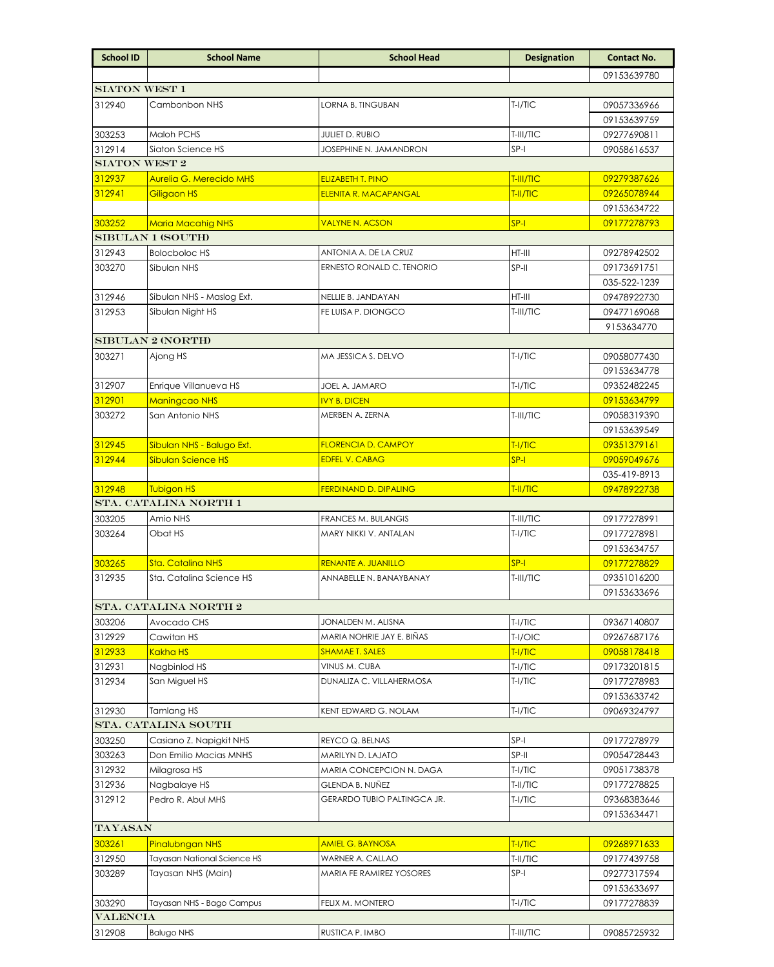| <b>School ID</b>         | <b>School Name</b>             | <b>School Head</b>           | <b>Designation</b> | <b>Contact No.</b> |  |  |  |  |
|--------------------------|--------------------------------|------------------------------|--------------------|--------------------|--|--|--|--|
|                          |                                |                              |                    | 09153639780        |  |  |  |  |
| <b>SIATON WEST 1</b>     |                                |                              |                    |                    |  |  |  |  |
| 312940                   | Cambonbon NHS                  | LORNA B. TINGUBAN            | T-I/TIC            | 09057336966        |  |  |  |  |
|                          |                                |                              |                    | 09153639759        |  |  |  |  |
| 303253                   | Maloh PCHS                     | <b>JULIET D. RUBIO</b>       | T-III/TIC          | 09277690811        |  |  |  |  |
| 312914                   | Siaton Science HS              | JOSEPHINE N. JAMANDRON       | $SP-I$             | 09058616537        |  |  |  |  |
| <b>SIATON WEST 2</b>     |                                |                              |                    |                    |  |  |  |  |
| 312937                   | <b>Aurelia G. Merecido MHS</b> | <b>ELIZABETH T. PINO</b>     | T-III/TIC          | 09279387626        |  |  |  |  |
| 312941                   | Giligaon HS                    | <b>ELENITA R. MACAPANGAL</b> | T-II/TIC           | 09265078944        |  |  |  |  |
|                          |                                |                              |                    | 09153634722        |  |  |  |  |
| 303252                   | <b>Maria Macahig NHS</b>       | <b>VALYNE N. ACSON</b>       | $SP-I$             | 09177278793        |  |  |  |  |
| <b>SIBULAN 1 (SOUTH)</b> |                                |                              |                    |                    |  |  |  |  |
| 312943                   | <b>Bolocboloc HS</b>           | ANTONIA A. DE LA CRUZ        | $HT-III$           | 09278942502        |  |  |  |  |
| 303270                   | Sibulan NHS                    | ERNESTO RONALD C. TENORIO    | SP-II              | 09173691751        |  |  |  |  |
|                          |                                |                              |                    | 035-522-1239       |  |  |  |  |
| 312946                   | Sibulan NHS - Maslog Ext.      | NELLIE B. JANDAYAN           | $HT-III$           | 09478922730        |  |  |  |  |
| 312953                   | Sibulan Night HS               | FE LUISA P. DIONGCO          | T-III/TIC          | 09477169068        |  |  |  |  |
|                          |                                |                              |                    | 9153634770         |  |  |  |  |
| <b>SIBULAN 2 (NORTH)</b> |                                |                              |                    |                    |  |  |  |  |
| 303271                   | Ajong HS                       | MA JESSICA S. DELVO          | $T-1/TIC$          | 09058077430        |  |  |  |  |
|                          |                                |                              |                    | 09153634778        |  |  |  |  |
| 312907                   | Enrique Villanueva HS          | JOEL A. JAMARO               | $T-I/TIC$          | 09352482245        |  |  |  |  |
| 312901                   | <b>Maningcao NHS</b>           | <b>IVY B. DICEN</b>          |                    | 09153634799        |  |  |  |  |
| 303272                   | San Antonio NHS                | MERBEN A. ZERNA              | T-III/TIC          | 09058319390        |  |  |  |  |
|                          |                                |                              |                    | 09153639549        |  |  |  |  |
| 312945                   | Sibulan NHS - Balugo Ext.      | <b>FLORENCIA D. CAMPOY</b>   | T-I/TIC            | 09351379161        |  |  |  |  |
| 312944                   | <b>Sibulan Science HS</b>      | <b>EDFEL V. CABAG</b>        | $SP-I$             | 09059049676        |  |  |  |  |
|                          |                                |                              |                    | 035-419-8913       |  |  |  |  |
| 312948                   | Tubigon HS                     | <b>FERDINAND D. DIPALING</b> | T-II/TIC           | 09478922738        |  |  |  |  |
|                          | STA. CATALINA NORTH 1          |                              |                    |                    |  |  |  |  |
| 303205                   | Amio NHS                       | FRANCES M. BULANGIS          | T-III/TIC          | 09177278991        |  |  |  |  |
| 303264                   | Obat HS                        | MARY NIKKI V. ANTALAN        | T-I/TIC            | 09177278981        |  |  |  |  |
|                          |                                |                              |                    | 09153634757        |  |  |  |  |
| 303265                   | Sta. Catalina NHS              | RENANTE A. JUANILLO          | $SP-I$             | 09177278829        |  |  |  |  |
| 312935                   | Sta. Catalina Science HS       | ANNABELLE N. BANAYBANAY      | T-III/TIC          | 09351016200        |  |  |  |  |
|                          |                                |                              |                    | 09153633696        |  |  |  |  |
|                          | STA. CATALINA NORTH 2          |                              |                    |                    |  |  |  |  |
| 303206                   | Avocado CHS                    | JONALDEN M. ALISNA           | $T-I/TIC$          | 09367140807        |  |  |  |  |
| 312929                   | Cawitan HS                     | MARIA NOHRIE JAY E. BIÑAS    | T-I/OIC            | 09267687176        |  |  |  |  |
| <u>312933</u>            | <u>Kakha HS</u>                | <u>SHAMAE T. SALES</u>       | TI/TIC             | <u>09058178418</u> |  |  |  |  |
| 312931                   | Nagbinlod HS                   | VINUS M. CUBA                | T-I/TIC            | 09173201815        |  |  |  |  |
| 312934                   | San Miguel HS                  | DUNALIZA C. VILLAHERMOSA     | T-I/TIC            | 09177278983        |  |  |  |  |
|                          |                                |                              |                    | 09153633742        |  |  |  |  |
| 312930                   | Tamlang HS                     | KENT EDWARD G. NOLAM         | T-I/TIC            | 09069324797        |  |  |  |  |
|                          | STA. CATALINA SOUTH            |                              |                    |                    |  |  |  |  |
| 303250                   | Casiano Z. Napigkit NHS        | REYCO Q. BELNAS              | SP-I               | 09177278979        |  |  |  |  |
| 303263                   | Don Emilio Macias MNHS         | MARILYN D. LAJATO            | SP-II              | 09054728443        |  |  |  |  |
| 312932                   | Milagrosa HS                   | MARIA CONCEPCION N. DAGA     | T-I/TIC            | 09051738378        |  |  |  |  |
| 312936                   | Nagbalaye HS                   | GLENDA B. NUÑEZ              | T-II/TIC           | 09177278825        |  |  |  |  |
| 312912                   | Pedro R. Abul MHS              | GERARDO TUBIO PALTINGCA JR.  | T-I/TIC            | 09368383646        |  |  |  |  |
|                          |                                |                              |                    | 09153634471        |  |  |  |  |
| TAYASAN                  |                                |                              |                    |                    |  |  |  |  |
| 303261                   | Pinalubngan NHS                | <b>AMIEL G. BAYNOSA</b>      | T-I/TIC            | 09268971633        |  |  |  |  |
| 312950                   | Tayasan National Science HS    | WARNER A. CALLAO             | T-II/TIC           | 09177439758        |  |  |  |  |
| 303289                   | Tayasan NHS (Main)             | MARIA FE RAMIREZ YOSORES     | $SP-I$             | 09277317594        |  |  |  |  |
|                          |                                |                              |                    | 09153633697        |  |  |  |  |
| 303290                   | Tayasan NHS - Bago Campus      | FELIX M. MONTERO             | $T-I/TIC$          | 09177278839        |  |  |  |  |
| <b>VALENCIA</b>          |                                |                              |                    |                    |  |  |  |  |
| 312908                   | <b>Balugo NHS</b>              | RUSTICA P. IMBO              | T-III/TIC          | 09085725932        |  |  |  |  |